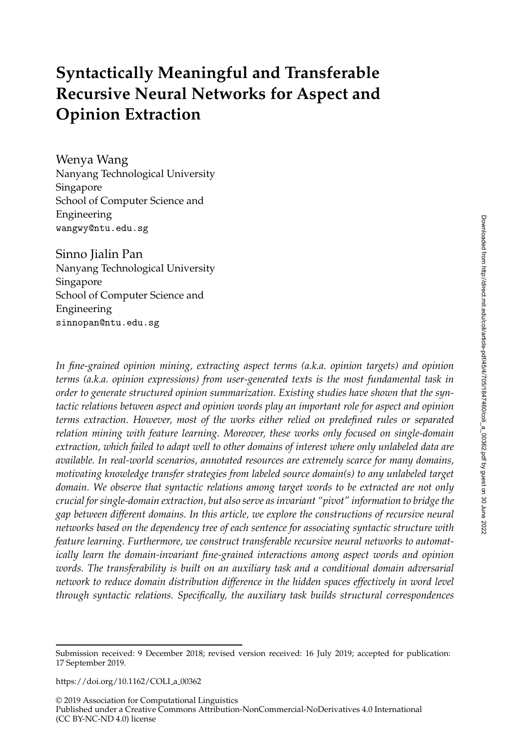# <span id="page-0-0"></span>**Syntactically Meaningful and Transferable Recursive Neural Networks for Aspect and Opinion Extraction**

Wenya Wang Nanyang Technological University Singapore School of Computer Science and Engineering wangwy@ntu.edu.sg

Sinno Jialin Pan Nanyang Technological University Singapore School of Computer Science and Engineering sinnopan@ntu.edu.sg

*In fine-grained opinion mining, extracting aspect terms (a.k.a. opinion targets) and opinion terms (a.k.a. opinion expressions) from user-generated texts is the most fundamental task in order to generate structured opinion summarization. Existing studies have shown that the syntactic relations between aspect and opinion words play an important role for aspect and opinion terms extraction. However, most of the works either relied on predefined rules or separated relation mining with feature learning. Moreover, these works only focused on single-domain extraction, which failed to adapt well to other domains of interest where only unlabeled data are available. In real-world scenarios, annotated resources are extremely scarce for many domains, motivating knowledge transfer strategies from labeled source domain(s) to any unlabeled target domain. We observe that syntactic relations among target words to be extracted are not only crucial for single-domain extraction, but also serve as invariant "pivot" information to bridge the gap between different domains. In this article, we explore the constructions of recursive neural networks based on the dependency tree of each sentence for associating syntactic structure with feature learning. Furthermore, we construct transferable recursive neural networks to automatically learn the domain-invariant fine-grained interactions among aspect words and opinion words. The transferability is built on an auxiliary task and a conditional domain adversarial network to reduce domain distribution difference in the hidden spaces effectively in word level through syntactic relations. Specifically, the auxiliary task builds structural correspondences*

https://doi.org/10.1162/COLI\_a\_00362

Submission received: 9 December 2018; revised version received: 16 July 2019; accepted for publication: 17 September 2019.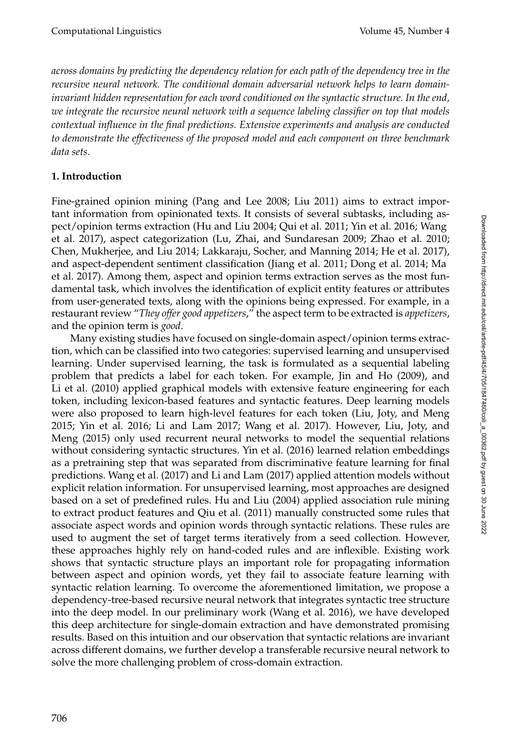*across domains by predicting the dependency relation for each path of the dependency tree in the recursive neural network. The conditional domain adversarial network helps to learn domaininvariant hidden representation for each word conditioned on the syntactic structure. In the end, we integrate the recursive neural network with a sequence labeling classifier on top that models contextual influence in the final predictions. Extensive experiments and analysis are conducted to demonstrate the effectiveness of the proposed model and each component on three benchmark data sets.*

## **1. Introduction**

Fine-grained opinion mining [\(Pang and Lee 2008; Liu 2011\)](#page-0-0) aims to extract important information from opinionated texts. It consists of several subtasks, including aspect/opinion terms extraction (Hu and Liu [2004;](#page-0-0) Qui et al. [2011;](#page-0-0) Yin et al. [2016;](#page-0-0) Wang et al. [2017\)](#page-0-0), aspect categorization (Lu, Zhai, and Sundaresan [2009;](#page-0-0) Zhao et al. [2010;](#page-0-0) Chen, Mukherjee, and Liu [2014;](#page-0-0) Lakkaraju, Socher, and Manning [2014;](#page-0-0) He et al. [2017\)](#page-0-0), and aspect-dependent sentiment classification (Jiang et al. [2011;](#page-0-0) Dong et al. [2014;](#page-0-0) Ma et al. [2017\)](#page-0-0). Among them, aspect and opinion terms extraction serves as the most fundamental task, which involves the identification of explicit entity features or attributes from user-generated texts, along with the opinions being expressed. For example, in a restaurant review "*They offer good appetizers*," the aspect term to be extracted is *appetizers*, and the opinion term is *good*.

Many existing studies have focused on single-domain aspect/opinion terms extraction, which can be classified into two categories: supervised learning and unsupervised learning. Under supervised learning, the task is formulated as a sequential labeling problem that predicts a label for each token. For example, [Jin and Ho \(2009\)](#page-0-0), and [Li et al. \(2010\)](#page-0-0) applied graphical models with extensive feature engineering for each token, including lexicon-based features and syntactic features. Deep learning models were also proposed to learn high-level features for each token [\(Liu, Joty, and Meng](#page-0-0) [2015; Yin et al. 2016; Li and Lam 2017; Wang et al. 2017\)](#page-0-0). However, [Liu, Joty, and](#page-0-0) [Meng \(2015\)](#page-0-0) only used recurrent neural networks to model the sequential relations without considering syntactic structures. [Yin et al. \(2016\)](#page-0-0) learned relation embeddings as a pretraining step that was separated from discriminative feature learning for final predictions. [Wang et al. \(2017\)](#page-0-0) and [Li and Lam \(2017\)](#page-0-0) applied attention models without explicit relation information. For unsupervised learning, most approaches are designed based on a set of predefined rules. [Hu and Liu \(2004\)](#page-0-0) applied association rule mining to extract product features and [Qiu et al. \(2011\)](#page-0-0) manually constructed some rules that associate aspect words and opinion words through syntactic relations. These rules are used to augment the set of target terms iteratively from a seed collection. However, these approaches highly rely on hand-coded rules and are inflexible. Existing work shows that syntactic structure plays an important role for propagating information between aspect and opinion words, yet they fail to associate feature learning with syntactic relation learning. To overcome the aforementioned limitation, we propose a dependency-tree-based recursive neural network that integrates syntactic tree structure into the deep model. In our preliminary work [\(Wang et al. 2016\)](#page-0-0), we have developed this deep architecture for single-domain extraction and have demonstrated promising results. Based on this intuition and our observation that syntactic relations are invariant across different domains, we further develop a transferable recursive neural network to solve the more challenging problem of cross-domain extraction.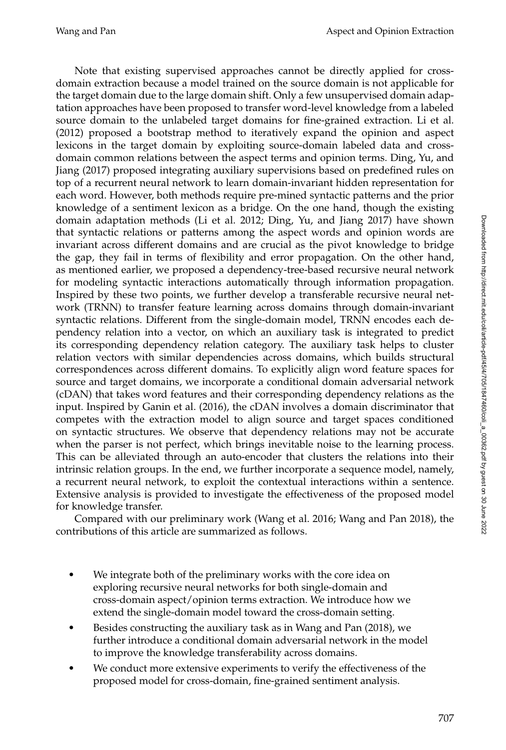Note that existing supervised approaches cannot be directly applied for crossdomain extraction because a model trained on the source domain is not applicable for the target domain due to the large domain shift. Only a few unsupervised domain adaptation approaches have been proposed to transfer word-level knowledge from a labeled source domain to the unlabeled target domains for fine-grained extraction. Li et al. [\(2012\)](#page-0-0) proposed a bootstrap method to iteratively expand the opinion and aspect lexicons in the target domain by exploiting source-domain labeled data and crossdomain common relations between the aspect terms and opinion terms. [Ding, Yu, and](#page-0-0) [Jiang \(2017\)](#page-0-0) proposed integrating auxiliary supervisions based on predefined rules on top of a recurrent neural network to learn domain-invariant hidden representation for each word. However, both methods require pre-mined syntactic patterns and the prior knowledge of a sentiment lexicon as a bridge. On the one hand, though the existing domain adaptation methods [\(Li et al. 2012; Ding, Yu, and Jiang 2017\)](#page-0-0) have shown that syntactic relations or patterns among the aspect words and opinion words are invariant across different domains and are crucial as the pivot knowledge to bridge the gap, they fail in terms of flexibility and error propagation. On the other hand, as mentioned earlier, we proposed a dependency-tree-based recursive neural network for modeling syntactic interactions automatically through information propagation. Inspired by these two points, we further develop a transferable recursive neural network (TRNN) to transfer feature learning across domains through domain-invariant syntactic relations. Different from the single-domain model, TRNN encodes each dependency relation into a vector, on which an auxiliary task is integrated to predict its corresponding dependency relation category. The auxiliary task helps to cluster relation vectors with similar dependencies across domains, which builds structural correspondences across different domains. To explicitly align word feature spaces for source and target domains, we incorporate a conditional domain adversarial network (cDAN) that takes word features and their corresponding dependency relations as the input. Inspired by [Ganin et al. \(2016\)](#page-0-0), the cDAN involves a domain discriminator that competes with the extraction model to align source and target spaces conditioned on syntactic structures. We observe that dependency relations may not be accurate when the parser is not perfect, which brings inevitable noise to the learning process. This can be alleviated through an auto-encoder that clusters the relations into their intrinsic relation groups. In the end, we further incorporate a sequence model, namely, a recurrent neural network, to exploit the contextual interactions within a sentence. Extensive analysis is provided to investigate the effectiveness of the proposed model for knowledge transfer.

Compared with our preliminary work [\(Wang et al. 2016; Wang and Pan 2018\)](#page-0-0), the contributions of this article are summarized as follows.

- We integrate both of the preliminary works with the core idea on exploring recursive neural networks for both single-domain and cross-domain aspect/opinion terms extraction. We introduce how we extend the single-domain model toward the cross-domain setting.
- Besides constructing the auxiliary task as in [Wang and Pan \(2018\)](#page-0-0), we further introduce a conditional domain adversarial network in the model to improve the knowledge transferability across domains.
- We conduct more extensive experiments to verify the effectiveness of the proposed model for cross-domain, fine-grained sentiment analysis.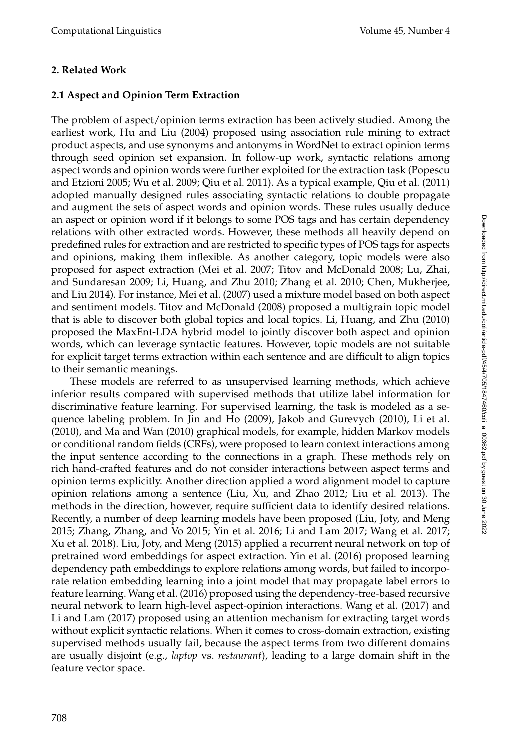## **2. Related Work**

## **2.1 Aspect and Opinion Term Extraction**

The problem of aspect/opinion terms extraction has been actively studied. Among the earliest work, [Hu and Liu \(2004\)](#page-0-0) proposed using association rule mining to extract product aspects, and use synonyms and antonyms in WordNet to extract opinion terms through seed opinion set expansion. In follow-up work, syntactic relations among aspect words and opinion words were further exploited for the extraction task [\(Popescu](#page-0-0) [and Etzioni 2005; Wu et al. 2009; Qiu et al. 2011\)](#page-0-0). As a typical example, [Qiu et al. \(2011\)](#page-0-0) adopted manually designed rules associating syntactic relations to double propagate and augment the sets of aspect words and opinion words. These rules usually deduce an aspect or opinion word if it belongs to some POS tags and has certain dependency relations with other extracted words. However, these methods all heavily depend on predefined rules for extraction and are restricted to specific types of POS tags for aspects and opinions, making them inflexible. As another category, topic models were also proposed for aspect extraction [\(Mei et al. 2007; Titov and McDonald 2008; Lu, Zhai,](#page-0-0) [and Sundaresan 2009; Li, Huang, and Zhu 2010; Zhang et al. 2010; Chen, Mukherjee,](#page-0-0) [and Liu 2014\)](#page-0-0). For instance, [Mei et al. \(2007\)](#page-0-0) used a mixture model based on both aspect and sentiment models. [Titov and McDonald \(2008\)](#page-0-0) proposed a multigrain topic model that is able to discover both global topics and local topics. [Li, Huang, and Zhu \(2010\)](#page-0-0) proposed the MaxEnt-LDA hybrid model to jointly discover both aspect and opinion words, which can leverage syntactic features. However, topic models are not suitable for explicit target terms extraction within each sentence and are difficult to align topics to their semantic meanings.

These models are referred to as unsupervised learning methods, which achieve inferior results compared with supervised methods that utilize label information for discriminative feature learning. For supervised learning, the task is modeled as a sequence labeling problem. In [Jin and Ho \(2009\)](#page-0-0), [Jakob and Gurevych \(2010\)](#page-0-0), [Li et al.](#page-0-0) [\(2010\)](#page-0-0), and [Ma and Wan \(2010\)](#page-0-0) graphical models, for example, hidden Markov models or conditional random fields (CRFs), were proposed to learn context interactions among the input sentence according to the connections in a graph. These methods rely on rich hand-crafted features and do not consider interactions between aspect terms and opinion terms explicitly. Another direction applied a word alignment model to capture opinion relations among a sentence [\(Liu, Xu, and Zhao 2012; Liu et al. 2013\)](#page-0-0). The methods in the direction, however, require sufficient data to identify desired relations. Recently, a number of deep learning models have been proposed [\(Liu, Joty, and Meng](#page-0-0) [2015; Zhang, Zhang, and Vo 2015; Yin et al. 2016; Li and Lam 2017; Wang et al. 2017;](#page-0-0) [Xu et al. 2018\)](#page-0-0). [Liu, Joty, and Meng \(2015\)](#page-0-0) applied a recurrent neural network on top of pretrained word embeddings for aspect extraction. [Yin et al. \(2016\)](#page-0-0) proposed learning dependency path embeddings to explore relations among words, but failed to incorporate relation embedding learning into a joint model that may propagate label errors to feature learning. [Wang et al. \(2016\)](#page-0-0) proposed using the dependency-tree-based recursive neural network to learn high-level aspect-opinion interactions. [Wang et al. \(2017\)](#page-0-0) and [Li and Lam \(2017\)](#page-0-0) proposed using an attention mechanism for extracting target words without explicit syntactic relations. When it comes to cross-domain extraction, existing supervised methods usually fail, because the aspect terms from two different domains are usually disjoint (e.g., *laptop* vs. *restaurant*), leading to a large domain shift in the feature vector space.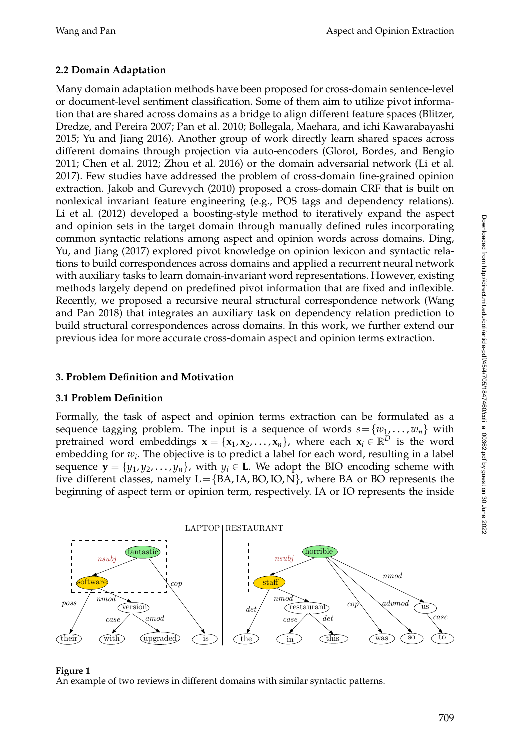# **2.2 Domain Adaptation**

Many domain adaptation methods have been proposed for cross-domain sentence-level or document-level sentiment classification. Some of them aim to utilize pivot information that are shared across domains as a bridge to align different feature spaces [\(Blitzer,](#page-0-0) [Dredze, and Pereira 2007; Pan et al. 2010; Bollegala, Maehara, and ichi Kawarabayashi](#page-0-0) [2015; Yu and Jiang 2016\)](#page-0-0). Another group of work directly learn shared spaces across different domains through projection via auto-encoders [\(Glorot, Bordes, and Bengio](#page-0-0) [2011; Chen et al. 2012; Zhou et al. 2016\)](#page-0-0) or the domain adversarial network [\(Li et al.](#page-0-0) [2017\)](#page-0-0). Few studies have addressed the problem of cross-domain fine-grained opinion extraction. [Jakob and Gurevych \(2010\)](#page-0-0) proposed a cross-domain CRF that is built on nonlexical invariant feature engineering (e.g., POS tags and dependency relations). [Li et al. \(2012\)](#page-0-0) developed a boosting-style method to iteratively expand the aspect and opinion sets in the target domain through manually defined rules incorporating common syntactic relations among aspect and opinion words across domains. [Ding,](#page-0-0) [Yu, and Jiang \(2017\)](#page-0-0) explored pivot knowledge on opinion lexicon and syntactic relations to build correspondences across domains and applied a recurrent neural network with auxiliary tasks to learn domain-invariant word representations. However, existing methods largely depend on predefined pivot information that are fixed and inflexible. Recently, we proposed a recursive neural structural correspondence network [\(Wang](#page-0-0) [and Pan 2018\)](#page-0-0) that integrates an auxiliary task on dependency relation prediction to build structural correspondences across domains. In this work, we further extend our previous idea for more accurate cross-domain aspect and opinion terms extraction.

# **3. Problem Definition and Motivation**

#### <span id="page-4-1"></span>**3.1 Problem Definition**

Formally, the task of aspect and opinion terms extraction can be formulated as a sequence tagging problem. The input is a sequence of words  $s = \{w_1, \ldots, w_n\}$  with pretrained word embeddings  $\mathbf{x} = {\mathbf{x}_1, \mathbf{x}_2, ..., \mathbf{x}_n}$ , where each  $\mathbf{x}_i \in \mathbb{R}^D$  is the word embedding for *w<sup>i</sup>* . The objective is to predict a label for each word, resulting in a label sequence  $\mathbf{y} = \{y_1, y_2, \ldots, y_n\}$ , with  $y_i \in \mathbf{L}$ . We adopt the BIO encoding scheme with five different classes, namely  $L = {BA, IA, BO, IO, N}$ , where BA or BO represents the beginning of aspect term or opinion term, respectively. IA or IO represents the inside



#### <span id="page-4-0"></span>**Figure 1**

An example of two reviews in different domains with similar syntactic patterns.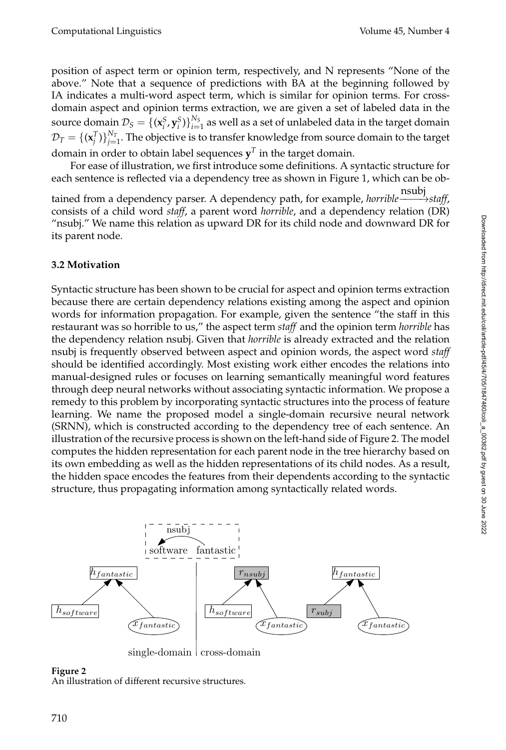position of aspect term or opinion term, respectively, and N represents "None of the above." Note that a sequence of predictions with BA at the beginning followed by IA indicates a multi-word aspect term, which is similar for opinion terms. For crossdomain aspect and opinion terms extraction, we are given a set of labeled data in the source domain  $\mathcal{D}_S = \{(\mathbf{x}_i^S, \mathbf{y}_i^S)\}_{i=1}^{N_S}$  as well as a set of unlabeled data in the target domain  $\mathcal{D}_T = \{(\mathbf{x}_j^T)\}_{j=1}^{N_T}.$  The objective is to transfer knowledge from source domain to the target domain in order to obtain label sequences  $\mathbf{y}^T$  in the target domain.

For ease of illustration, we first introduce some definitions. A syntactic structure for each sentence is reflected via a dependency tree as shown in Figure [1,](#page-4-0) which can be ob-

tained from a dependency parser. A dependency path, for example, *horrible* nsubj −−−−→*staff*, consists of a child word *staff*, a parent word *horrible*, and a dependency relation (DR) "nsubj." We name this relation as upward DR for its child node and downward DR for its parent node.

#### **3.2 Motivation**

Syntactic structure has been shown to be crucial for aspect and opinion terms extraction because there are certain dependency relations existing among the aspect and opinion words for information propagation. For example, given the sentence "the staff in this restaurant was so horrible to us," the aspect term *staff* and the opinion term *horrible* has the dependency relation nsubj. Given that *horrible* is already extracted and the relation nsubj is frequently observed between aspect and opinion words, the aspect word *staff* should be identified accordingly. Most existing work either encodes the relations into manual-designed rules or focuses on learning semantically meaningful word features through deep neural networks without associating syntactic information. We propose a remedy to this problem by incorporating syntactic structures into the process of feature learning. We name the proposed model a single-domain recursive neural network (SRNN), which is constructed according to the dependency tree of each sentence. An illustration of the recursive process is shown on the left-hand side of Figure [2.](#page-5-0) The model computes the hidden representation for each parent node in the tree hierarchy based on its own embedding as well as the hidden representations of its child nodes. As a result, the hidden space encodes the features from their dependents according to the syntactic structure, thus propagating information among syntactically related words.



<span id="page-5-0"></span>**Figure 2** An illustration of different recursive structures.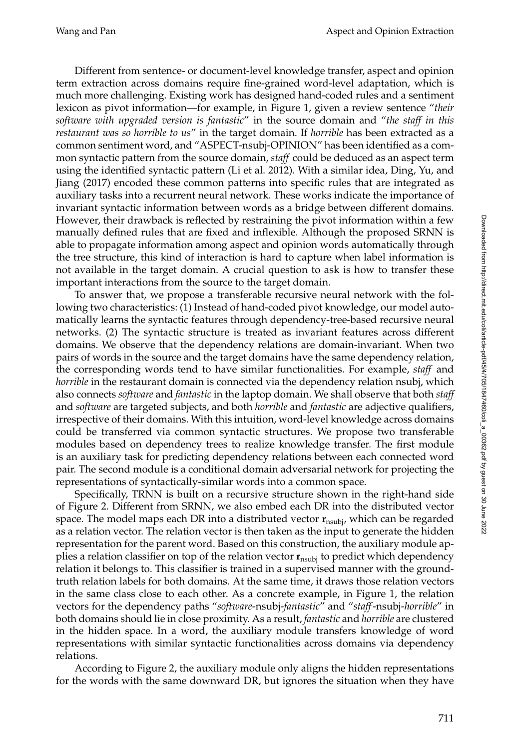Different from sentence- or document-level knowledge transfer, aspect and opinion term extraction across domains require fine-grained word-level adaptation, which is much more challenging. Existing work has designed hand-coded rules and a sentiment lexicon as pivot information—for example, in Figure [1,](#page-4-0) given a review sentence "*their software with upgraded version is fantastic*" in the source domain and "*the staff in this restaurant was so horrible to us*" in the target domain. If *horrible* has been extracted as a common sentiment word, and "ASPECT-nsubj-OPINION" has been identified as a common syntactic pattern from the source domain, *staff* could be deduced as an aspect term using the identified syntactic pattern [\(Li et al. 2012\)](#page-0-0). With a similar idea, [Ding, Yu, and](#page-0-0) [Jiang \(2017\)](#page-0-0) encoded these common patterns into specific rules that are integrated as auxiliary tasks into a recurrent neural network. These works indicate the importance of invariant syntactic information between words as a bridge between different domains. However, their drawback is reflected by restraining the pivot information within a few manually defined rules that are fixed and inflexible. Although the proposed SRNN is able to propagate information among aspect and opinion words automatically through the tree structure, this kind of interaction is hard to capture when label information is not available in the target domain. A crucial question to ask is how to transfer these important interactions from the source to the target domain.

To answer that, we propose a transferable recursive neural network with the following two characteristics: (1) Instead of hand-coded pivot knowledge, our model automatically learns the syntactic features through dependency-tree-based recursive neural networks. (2) The syntactic structure is treated as invariant features across different domains. We observe that the dependency relations are domain-invariant. When two pairs of words in the source and the target domains have the same dependency relation, the corresponding words tend to have similar functionalities. For example, *staff* and *horrible* in the restaurant domain is connected via the dependency relation nsubj, which also connects *software* and *fantastic* in the laptop domain. We shall observe that both *staff* and *software* are targeted subjects, and both *horrible* and *fantastic* are adjective qualifiers, irrespective of their domains. With this intuition, word-level knowledge across domains could be transferred via common syntactic structures. We propose two transferable modules based on dependency trees to realize knowledge transfer. The first module is an auxiliary task for predicting dependency relations between each connected word pair. The second module is a conditional domain adversarial network for projecting the representations of syntactically-similar words into a common space.

Specifically, TRNN is built on a recursive structure shown in the right-hand side of Figure [2.](#page-5-0) Different from SRNN, we also embed each DR into the distributed vector space. The model maps each DR into a distributed vector **r**nsubj, which can be regarded as a relation vector. The relation vector is then taken as the input to generate the hidden representation for the parent word. Based on this construction, the auxiliary module applies a relation classifier on top of the relation vector **r**nsubj to predict which dependency relation it belongs to. This classifier is trained in a supervised manner with the groundtruth relation labels for both domains. At the same time, it draws those relation vectors in the same class close to each other. As a concrete example, in Figure [1,](#page-4-0) the relation vectors for the dependency paths "*software*-nsubj-*fantastic*" and "*staff*-nsubj-*horrible*" in both domains should lie in close proximity. As a result, *fantastic* and *horrible* are clustered in the hidden space. In a word, the auxiliary module transfers knowledge of word representations with similar syntactic functionalities across domains via dependency relations.

According to Figure [2,](#page-5-0) the auxiliary module only aligns the hidden representations for the words with the same downward DR, but ignores the situation when they have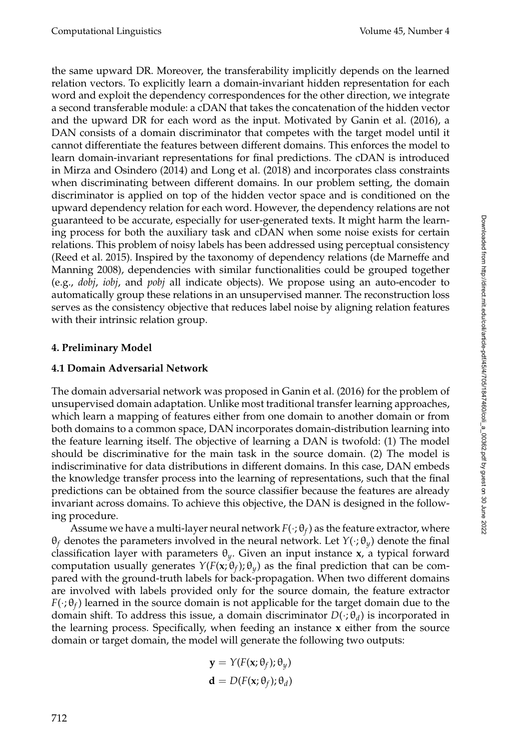the same upward DR. Moreover, the transferability implicitly depends on the learned relation vectors. To explicitly learn a domain-invariant hidden representation for each word and exploit the dependency correspondences for the other direction, we integrate a second transferable module: a cDAN that takes the concatenation of the hidden vector and the upward DR for each word as the input. Motivated by [Ganin et al. \(2016\)](#page-0-0), a DAN consists of a domain discriminator that competes with the target model until it cannot differentiate the features between different domains. This enforces the model to learn domain-invariant representations for final predictions. The cDAN is introduced in [Mirza and Osindero \(2014\)](#page-0-0) and [Long et al. \(2018\)](#page-0-0) and incorporates class constraints when discriminating between different domains. In our problem setting, the domain discriminator is applied on top of the hidden vector space and is conditioned on the upward dependency relation for each word. However, the dependency relations are not guaranteed to be accurate, especially for user-generated texts. It might harm the learning process for both the auxiliary task and cDAN when some noise exists for certain relations. This problem of noisy labels has been addressed using perceptual consistency [\(Reed et al. 2015\)](#page-0-0). Inspired by the taxonomy of dependency relations [\(de Marneffe and](#page-0-0) [Manning 2008\)](#page-0-0), dependencies with similar functionalities could be grouped together (e.g., *dobj*, *iobj*, and *pobj* all indicate objects). We propose using an auto-encoder to automatically group these relations in an unsupervised manner. The reconstruction loss serves as the consistency objective that reduces label noise by aligning relation features with their intrinsic relation group.

#### **4. Preliminary Model**

#### **4.1 Domain Adversarial Network**

The domain adversarial network was proposed in [Ganin et al. \(2016\)](#page-0-0) for the problem of unsupervised domain adaptation. Unlike most traditional transfer learning approaches, which learn a mapping of features either from one domain to another domain or from both domains to a common space, DAN incorporates domain-distribution learning into the feature learning itself. The objective of learning a DAN is twofold: (1) The model should be discriminative for the main task in the source domain. (2) The model is indiscriminative for data distributions in different domains. In this case, DAN embeds the knowledge transfer process into the learning of representations, such that the final predictions can be obtained from the source classifier because the features are already invariant across domains. To achieve this objective, the DAN is designed in the following procedure.

Assume we have a multi-layer neural network  $F(\cdot;\theta_f)$  as the feature extractor, where θ*<sup>f</sup>* denotes the parameters involved in the neural network. Let *Y*(·; θ*<sup>y</sup>* ) denote the final classification layer with parameters θ*<sup>y</sup>* . Given an input instance **x**, a typical forward computation usually generates  $Y(F(\mathbf{x}; \theta_f); \theta_y)$  as the final prediction that can be compared with the ground-truth labels for back-propagation. When two different domains are involved with labels provided only for the source domain, the feature extractor  $F(\cdot;\theta_f)$  learned in the source domain is not applicable for the target domain due to the domain shift. To address this issue, a domain discriminator *D*(·; θ*<sup>d</sup>* ) is incorporated in the learning process. Specifically, when feeding an instance **x** either from the source domain or target domain, the model will generate the following two outputs:

$$
\mathbf{y} = Y(F(\mathbf{x}; \theta_f); \theta_y)
$$

$$
\mathbf{d} = D(F(\mathbf{x}; \theta_f); \theta_d)
$$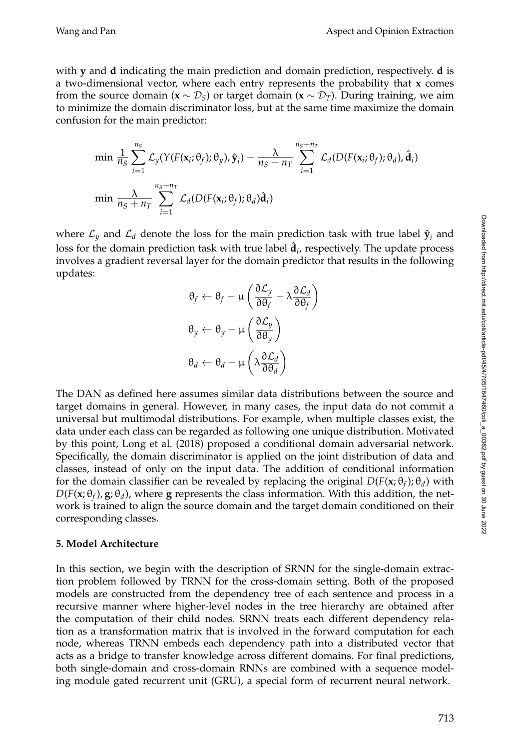with **y** and **d** indicating the main prediction and domain prediction, respectively. **d** is a two-dimensional vector, where each entry represents the probability that **x** comes from the source domain ( $\mathbf{x} \sim \mathcal{D}_S$ ) or target domain ( $\mathbf{x} \sim \mathcal{D}_T$ ). During training, we aim to minimize the domain discriminator loss, but at the same time maximize the domain confusion for the main predictor:

$$
\min \frac{1}{n_S} \sum_{i=1}^{n_S} \mathcal{L}_y(Y(F(\mathbf{x}_i; \theta_f); \theta_y), \hat{\mathbf{y}}_i) - \frac{\lambda}{n_S + n_T} \sum_{i=1}^{n_S + n_T} \mathcal{L}_d(D(F(\mathbf{x}_i; \theta_f); \theta_d), \hat{\mathbf{d}}_i)
$$
  

$$
\min \frac{\lambda}{n_S + n_T} \sum_{i=1}^{n_S + n_T} \mathcal{L}_d(D(F(\mathbf{x}_i; \theta_f); \theta_d) \hat{\mathbf{d}}_i)
$$

where  $\mathcal{L}_y$  and  $\mathcal{L}_d$  denote the loss for the main prediction task with true label  $\hat{\mathbf{y}}_i$  and loss for the domain prediction task with true label  $\hat{\mathbf{d}}_i$ , respectively. The update process involves a gradient reversal layer for the domain predictor that results in the following updates:

$$
\theta_f \leftarrow \theta_f - \mu \left( \frac{\partial \mathcal{L}_y}{\partial \theta_f} - \lambda \frac{\partial \mathcal{L}_d}{\partial \theta_f} \right)
$$

$$
\theta_y \leftarrow \theta_y - \mu \left( \frac{\partial \mathcal{L}_y}{\partial \theta_y} \right)
$$

$$
\theta_d \leftarrow \theta_d - \mu \left( \lambda \frac{\partial \mathcal{L}_d}{\partial \theta_d} \right)
$$

The DAN as defined here assumes similar data distributions between the source and target domains in general. However, in many cases, the input data do not commit a universal but multimodal distributions. For example, when multiple classes exist, the data under each class can be regarded as following one unique distribution. Motivated by this point, [Long et al. \(2018\)](#page-0-0) proposed a conditional domain adversarial network. Specifically, the domain discriminator is applied on the joint distribution of data and classes, instead of only on the input data. The addition of conditional information for the domain classifier can be revealed by replacing the original  $D(F(\mathbf{x}; \theta_f); \theta_d)$  with  $D(F(\mathbf{x}; \theta_f), \mathbf{g}; \theta_d)$ , where  $\mathbf{g}$  represents the class information. With this addition, the network is trained to align the source domain and the target domain conditioned on their corresponding classes.

#### **5. Model Architecture**

In this section, we begin with the description of SRNN for the single-domain extraction problem followed by TRNN for the cross-domain setting. Both of the proposed models are constructed from the dependency tree of each sentence and process in a recursive manner where higher-level nodes in the tree hierarchy are obtained after the computation of their child nodes. SRNN treats each different dependency relation as a transformation matrix that is involved in the forward computation for each node, whereas TRNN embeds each dependency path into a distributed vector that acts as a bridge to transfer knowledge across different domains. For final predictions, both single-domain and cross-domain RNNs are combined with a sequence modeling module gated recurrent unit (GRU), a special form of recurrent neural network.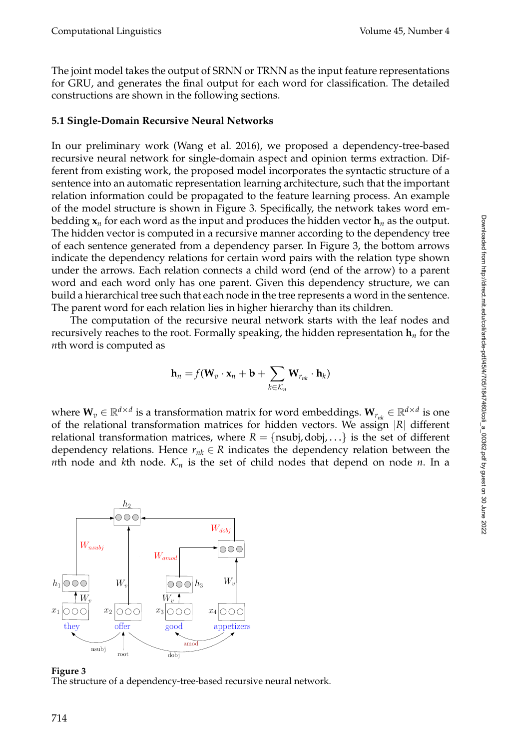The joint model takes the output of SRNN or TRNN as the input feature representations for GRU, and generates the final output for each word for classification. The detailed constructions are shown in the following sections.

#### **5.1 Single-Domain Recursive Neural Networks**

In our preliminary work [\(Wang et al. 2016\)](#page-0-0), we proposed a dependency-tree-based recursive neural network for single-domain aspect and opinion terms extraction. Different from existing work, the proposed model incorporates the syntactic structure of a sentence into an automatic representation learning architecture, such that the important relation information could be propagated to the feature learning process. An example of the model structure is shown in Figure [3.](#page-9-0) Specifically, the network takes word embedding  $\mathbf{x}_n$  for each word as the input and produces the hidden vector  $\mathbf{h}_n$  as the output. The hidden vector is computed in a recursive manner according to the dependency tree of each sentence generated from a dependency parser. In Figure [3,](#page-9-0) the bottom arrows indicate the dependency relations for certain word pairs with the relation type shown under the arrows. Each relation connects a child word (end of the arrow) to a parent word and each word only has one parent. Given this dependency structure, we can build a hierarchical tree such that each node in the tree represents a word in the sentence. The parent word for each relation lies in higher hierarchy than its children.

The computation of the recursive neural network starts with the leaf nodes and recursively reaches to the root. Formally speaking, the hidden representation  $h_n$  for the *n*th word is computed as

$$
\mathbf{h}_n = f(\mathbf{W}_v \cdot \mathbf{x}_n + \mathbf{b} + \sum_{k \in \mathcal{K}_n} \mathbf{W}_{r_{nk}} \cdot \mathbf{h}_k)
$$

where  $\mathbf{W}_v \in \mathbb{R}^{d \times d}$  is a transformation matrix for word embeddings.  $\mathbf{W}_{r_{nk}} \in \mathbb{R}^{d \times d}$  is one of the relational transformation matrices for hidden vectors. We assign |*R*| different relational transformation matrices, where  $R = \{nsubj, dobj, ...\}$  is the set of different dependency relations. Hence  $r_{nk} \in R$  indicates the dependency relation between the *n*th node and *k*th node.  $K_n$  is the set of child nodes that depend on node *n*. In a



<span id="page-9-0"></span>**Figure 3** The structure of a dependency-tree-based recursive neural network.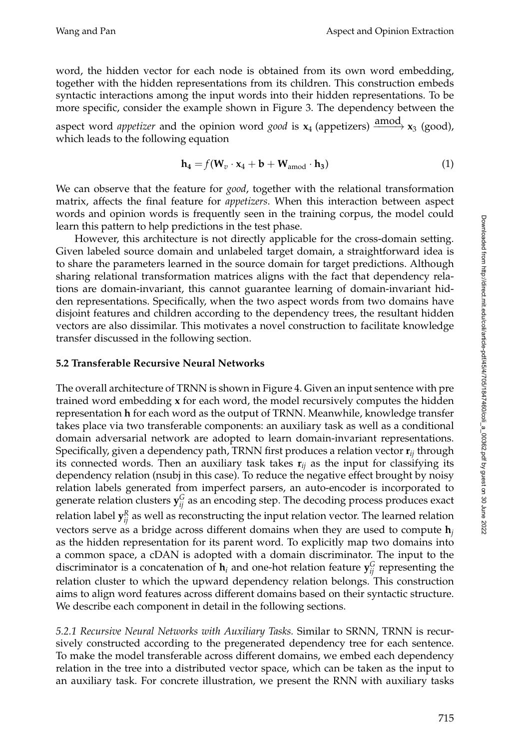word, the hidden vector for each node is obtained from its own word embedding, together with the hidden representations from its children. This construction embeds syntactic interactions among the input words into their hidden representations. To be more specific, consider the example shown in Figure [3.](#page-9-0) The dependency between the

aspect word *appetizer* and the opinion word *good* is  $x_4$  (appetizers)  $\frac{\text{amod}}{\text{ax}_3}$  (good), which leads to the following equation

$$
\mathbf{h}_4 = f(\mathbf{W}_v \cdot \mathbf{x}_4 + \mathbf{b} + \mathbf{W}_{amod} \cdot \mathbf{h}_3)
$$
 (1)

We can observe that the feature for *good*, together with the relational transformation matrix, affects the final feature for *appetizers*. When this interaction between aspect words and opinion words is frequently seen in the training corpus, the model could learn this pattern to help predictions in the test phase.

However, this architecture is not directly applicable for the cross-domain setting. Given labeled source domain and unlabeled target domain, a straightforward idea is to share the parameters learned in the source domain for target predictions. Although sharing relational transformation matrices aligns with the fact that dependency relations are domain-invariant, this cannot guarantee learning of domain-invariant hidden representations. Specifically, when the two aspect words from two domains have disjoint features and children according to the dependency trees, the resultant hidden vectors are also dissimilar. This motivates a novel construction to facilitate knowledge transfer discussed in the following section.

#### **5.2 Transferable Recursive Neural Networks**

The overall architecture of TRNN is shown in Figure [4.](#page-11-0) Given an input sentence with pre trained word embedding **x** for each word, the model recursively computes the hidden representation **h** for each word as the output of TRNN. Meanwhile, knowledge transfer takes place via two transferable components: an auxiliary task as well as a conditional domain adversarial network are adopted to learn domain-invariant representations. Specifically, given a dependency path, TRNN first produces a relation vector **r***ij* through its connected words. Then an auxiliary task takes  $\mathbf{r}_{ii}$  as the input for classifying its dependency relation (nsubj in this case). To reduce the negative effect brought by noisy relation labels generated from imperfect parsers, an auto-encoder is incorporated to generate relation clusters  $\mathbf{y}_{ij}^G$  as an encoding step. The decoding process produces exact relation label  $\mathbf{y}_{ij}^R$  as well as reconstructing the input relation vector. The learned relation vectors serve as a bridge across different domains when they are used to compute **h***<sup>j</sup>* as the hidden representation for its parent word. To explicitly map two domains into a common space, a cDAN is adopted with a domain discriminator. The input to the discriminator is a concatenation of  $\mathbf{h}_i$  and one-hot relation feature  $\mathbf{y}_{ij}^G$  representing the relation cluster to which the upward dependency relation belongs. This construction aims to align word features across different domains based on their syntactic structure. We describe each component in detail in the following sections.

<span id="page-10-0"></span>*5.2.1 Recursive Neural Networks with Auxiliary Tasks.* Similar to SRNN, TRNN is recursively constructed according to the pregenerated dependency tree for each sentence. To make the model transferable across different domains, we embed each dependency relation in the tree into a distributed vector space, which can be taken as the input to an auxiliary task. For concrete illustration, we present the RNN with auxiliary tasks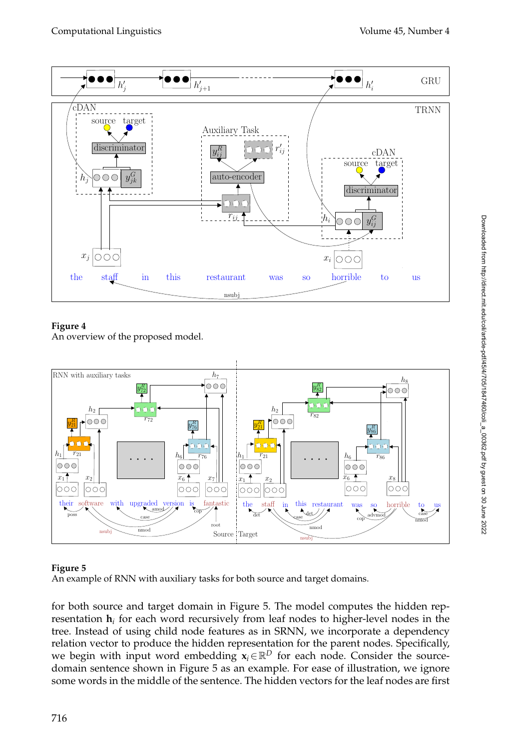

#### <span id="page-11-0"></span>**Figure 4**

An overview of the proposed model.



#### <span id="page-11-1"></span>**Figure 5**

An example of RNN with auxiliary tasks for both source and target domains.

for both source and target domain in Figure [5.](#page-11-1) The model computes the hidden representation **h***<sup>i</sup>* for each word recursively from leaf nodes to higher-level nodes in the tree. Instead of using child node features as in SRNN, we incorporate a dependency relation vector to produce the hidden representation for the parent nodes. Specifically, we begin with input word embedding  $\mathbf{x}_i \in \mathbb{R}^D$  for each node. Consider the sourcedomain sentence shown in Figure [5](#page-11-1) as an example. For ease of illustration, we ignore some words in the middle of the sentence. The hidden vectors for the leaf nodes are first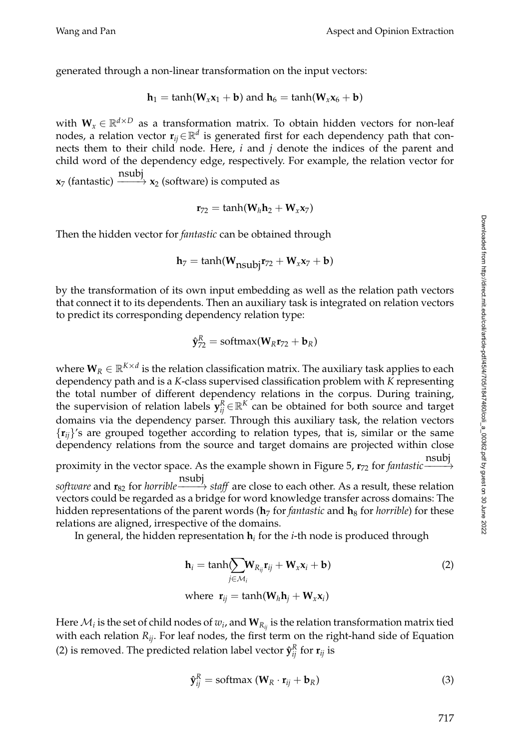generated through a non-linear transformation on the input vectors:

$$
\mathbf{h}_1 = \tanh(\mathbf{W}_x \mathbf{x}_1 + \mathbf{b}) \text{ and } \mathbf{h}_6 = \tanh(\mathbf{W}_x \mathbf{x}_6 + \mathbf{b})
$$

with  $\mathbf{W}_x \in \mathbb{R}^{d \times D}$  as a transformation matrix. To obtain hidden vectors for non-leaf nodes, a relation vector  $\mathbf{r}_{ij}$ ∈ $\mathbb{R}^{d}$  is generated first for each dependency path that connects them to their child node. Here, *i* and *j* denote the indices of the parent and child word of the dependency edge, respectively. For example, the relation vector for

**x**<sub>7</sub> (fantastic)  $\xrightarrow{\text{nsubj}}$  **x**<sub>2</sub> (software) is computed as

$$
\boldsymbol{r}_{72} = tanh(\boldsymbol{W}_h \boldsymbol{h}_2 + \boldsymbol{W}_x \boldsymbol{x}_7)
$$

Then the hidden vector for *fantastic* can be obtained through

$$
\mathbf{h}_7 = \tanh(\mathbf{W}_{nsubj}\mathbf{r}_{72} + \mathbf{W}_x\mathbf{x}_7 + \mathbf{b})
$$

by the transformation of its own input embedding as well as the relation path vectors that connect it to its dependents. Then an auxiliary task is integrated on relation vectors to predict its corresponding dependency relation type:

$$
\hat{\mathbf{y}}_{72}^R = \text{softmax}(\mathbf{W}_R \mathbf{r}_{72} + \mathbf{b}_R)
$$

where  $\mathbf{W}_R \in \mathbb{R}^{K \times d}$  is the relation classification matrix. The auxiliary task applies to each dependency path and is a *K*-class supervised classification problem with *K* representing the total number of different dependency relations in the corpus. During training, the supervision of relation labels  $\mathbf{y}_{ij}^R \in \mathbb{R}^K$  can be obtained for both source and target domains via the dependency parser. Through this auxiliary task, the relation vectors {**r***ij*}'s are grouped together according to relation types, that is, similar or the same dependency relations from the source and target domains are projected within close

proximity in the vector space. As the example shown in Figure [5,](#page-11-1) **r**<sup>72</sup> for *fantastic* nsubj  $\longrightarrow$ *software* and **r**<sup>82</sup> for *horrible* nsubj −−−−→ *staff* are close to each other. As a result, these relation vectors could be regarded as a bridge for word knowledge transfer across domains: The hidden representations of the parent words ( $\mathbf{h}_7$  for *fantastic* and  $\mathbf{h}_8$  for *horrible*) for these

relations are aligned, irrespective of the domains. In general, the hidden representation **h***<sup>i</sup>* for the *i*-th node is produced through

<span id="page-12-0"></span>
$$
\mathbf{h}_{i} = \tanh\left(\sum_{j \in \mathcal{M}_{i}} \mathbf{W}_{R_{ij}} \mathbf{r}_{ij} + \mathbf{W}_{x} \mathbf{x}_{i} + \mathbf{b}\right)
$$
\n(2)

\nwhere  $\mathbf{r}_{ij} = \tanh(\mathbf{W}_{h} \mathbf{h}_{j} + \mathbf{W}_{x} \mathbf{x}_{i})$ 

Here  $\mathcal{M}_i$  is the set of child nodes of  $w_i$ , and  $\mathbf{W}_{R_{ij}}$  is the relation transformation matrix tied with each relation *Rij*. For leaf nodes, the first term on the right-hand side of Equation [\(2\)](#page-12-0) is removed. The predicted relation label vector  $\hat{\mathbf{y}}_{ij}^R$  for  $\mathbf{r}_{ij}$  is

<span id="page-12-1"></span>
$$
\hat{\mathbf{y}}_{ij}^R = \text{softmax} \left( \mathbf{W}_R \cdot \mathbf{r}_{ij} + \mathbf{b}_R \right) \tag{3}
$$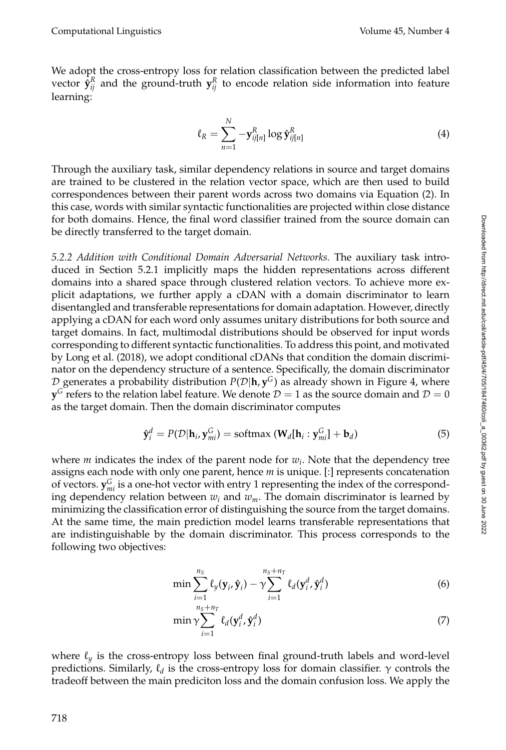<span id="page-13-0"></span>We adopt the cross-entropy loss for relation classification between the predicted label vector  $\hat{\mathbf{y}}_{ij}^R$  and the ground-truth  $\mathbf{y}_{ij}^R$  to encode relation side information into feature learning:

$$
\ell_R = \sum_{n=1}^N -\mathbf{y}_{ij[n]}^R \log \hat{\mathbf{y}}_{ij[n]}^R
$$
 (4)

Through the auxiliary task, similar dependency relations in source and target domains are trained to be clustered in the relation vector space, which are then used to build correspondences between their parent words across two domains via Equation [\(2\)](#page-12-0). In this case, words with similar syntactic functionalities are projected within close distance for both domains. Hence, the final word classifier trained from the source domain can be directly transferred to the target domain.

*5.2.2 Addition with Conditional Domain Adversarial Networks.* The auxiliary task introduced in Section [5.2.1](#page-10-0) implicitly maps the hidden representations across different domains into a shared space through clustered relation vectors. To achieve more explicit adaptations, we further apply a cDAN with a domain discriminator to learn disentangled and transferable representations for domain adaptation. However, directly applying a cDAN for each word only assumes unitary distributions for both source and target domains. In fact, multimodal distributions should be observed for input words corresponding to different syntactic functionalities. To address this point, and motivated by [Long et al. \(2018\)](#page-0-0), we adopt conditional cDANs that condition the domain discriminator on the dependency structure of a sentence. Specifically, the domain discriminator  $\mathcal D$  generates a probability distribution  $P(\mathcal D|\mathbf h,\mathbf y^G)$  as already shown in Figure [4,](#page-11-0) where  ${\bf y}^G$  refers to the relation label feature. We denote  ${\cal D}=1$  as the source domain and  ${\cal D}=0$ as the target domain. Then the domain discriminator computes

<span id="page-13-1"></span>
$$
\hat{\mathbf{y}}_i^d = P(\mathcal{D}|\mathbf{h}_i, \mathbf{y}_{mi}^G) = \text{softmax}\left(\mathbf{W}_d[\mathbf{h}_i : \mathbf{y}_{mi}^G] + \mathbf{b}_d\right)
$$
(5)

where *m* indicates the index of the parent node for *w<sup>i</sup>* . Note that the dependency tree assigns each node with only one parent, hence *m* is unique. [:] represents concatenation of vectors.  $y_{mi}^G$  is a one-hot vector with entry 1 representing the index of the corresponding dependency relation between *w<sup>i</sup>* and *wm*. The domain discriminator is learned by minimizing the classification error of distinguishing the source from the target domains. At the same time, the main prediction model learns transferable representations that are indistinguishable by the domain discriminator. This process corresponds to the following two objectives:

$$
\min \sum_{i=1}^{n_S} \ell_y(\mathbf{y}_i, \hat{\mathbf{y}}_i) - \gamma \sum_{i=1}^{n_S + n_T} \ell_d(\mathbf{y}_i^d, \hat{\mathbf{y}}_i^d)
$$
(6)

$$
\min \gamma \sum_{i=1}^{n_S + n_T} \ell_d(\mathbf{y}_i^d, \hat{\mathbf{y}}_i^d)
$$
\n(7)

where  $\ell_y$  is the cross-entropy loss between final ground-truth labels and word-level predictions. Similarly,  $\ell_d$  is the cross-entropy loss for domain classifier.  $\gamma$  controls the tradeoff between the main prediciton loss and the domain confusion loss. We apply the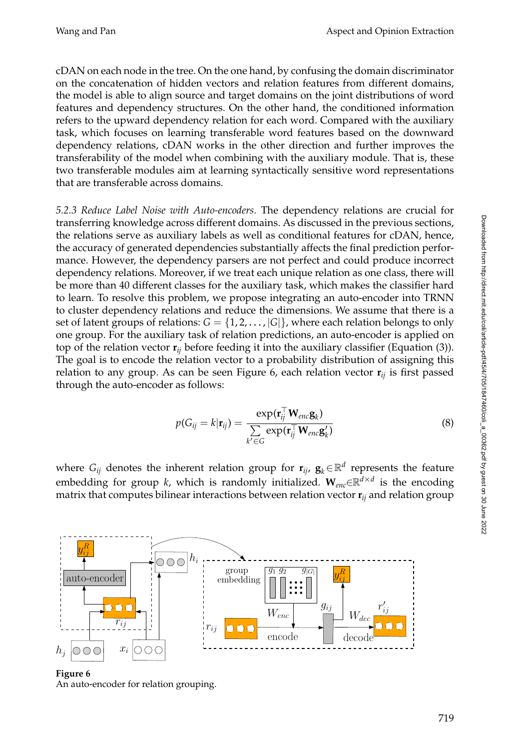cDAN on each node in the tree. On the one hand, by confusing the domain discriminator on the concatenation of hidden vectors and relation features from different domains, the model is able to align source and target domains on the joint distributions of word features and dependency structures. On the other hand, the conditioned information refers to the upward dependency relation for each word. Compared with the auxiliary task, which focuses on learning transferable word features based on the downward dependency relations, cDAN works in the other direction and further improves the transferability of the model when combining with the auxiliary module. That is, these two transferable modules aim at learning syntactically sensitive word representations that are transferable across domains.

<span id="page-14-2"></span>*5.2.3 Reduce Label Noise with Auto-encoders.* The dependency relations are crucial for transferring knowledge across different domains. As discussed in the previous sections, the relations serve as auxiliary labels as well as conditional features for cDAN, hence, the accuracy of generated dependencies substantially affects the final prediction performance. However, the dependency parsers are not perfect and could produce incorrect dependency relations. Moreover, if we treat each unique relation as one class, there will be more than 40 different classes for the auxiliary task, which makes the classifier hard to learn. To resolve this problem, we propose integrating an auto-encoder into TRNN to cluster dependency relations and reduce the dimensions. We assume that there is a set of latent groups of relations:  $G = \{1, 2, \ldots, |G|\}$ , where each relation belongs to only one group. For the auxiliary task of relation predictions, an auto-encoder is applied on top of the relation vector  $\mathbf{r}_{ij}$  before feeding it into the auxiliary classifier (Equation [\(3\)](#page-12-1)). The goal is to encode the relation vector to a probability distribution of assigning this relation to any group. As can be seen Figure [6,](#page-14-0) each relation vector **r***ij* is first passed through the auto-encoder as follows:

<span id="page-14-1"></span><span id="page-14-0"></span>
$$
p(G_{ij} = k|\mathbf{r}_{ij}) = \frac{\exp(\mathbf{r}_{ij}^{\top} \mathbf{W}_{enc} \mathbf{g}_k)}{\sum\limits_{k' \in G} \exp(\mathbf{r}_{ij}^{\top} \mathbf{W}_{enc} \mathbf{g}_k')}
$$
(8)

where  $G_{ij}$  denotes the inherent relation group for  $\mathbf{r}_{ij}$ ,  $\mathbf{g}_k \! \in \! \mathbb{R}^d$  represents the feature embedding for group *k*, which is randomly initialized. **W***enc*∈R *d*×*d* is the encoding matrix that computes bilinear interactions between relation vector **r***ij* and relation group



**Figure 6** An auto-encoder for relation grouping.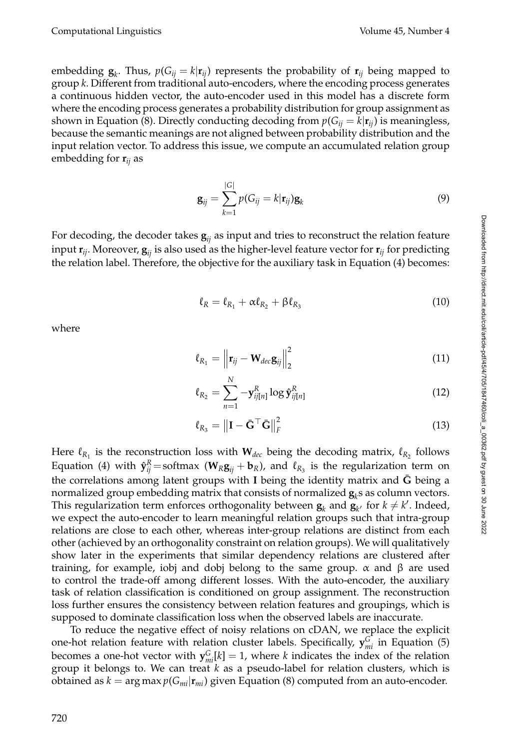embedding  $\mathbf{g}_k$ . Thus,  $p(G_{ij} = k | \mathbf{r}_{ij})$  represents the probability of  $\mathbf{r}_{ij}$  being mapped to group *k*. Different from traditional auto-encoders, where the encoding process generates a continuous hidden vector, the auto-encoder used in this model has a discrete form where the encoding process generates a probability distribution for group assignment as shown in Equation [\(8\)](#page-14-1). Directly conducting decoding from  $p(G_{ij} = k|\mathbf{r}_{ij})$  is meaningless, because the semantic meanings are not aligned between probability distribution and the input relation vector. To address this issue, we compute an accumulated relation group embedding for **r***ij* as

$$
\mathbf{g}_{ij} = \sum_{k=1}^{|G|} p(G_{ij} = k | \mathbf{r}_{ij}) \mathbf{g}_k
$$
\n(9)

<span id="page-15-0"></span>For decoding, the decoder takes **g***ij* as input and tries to reconstruct the relation feature input **r***ij*. Moreover, **g***ij* is also used as the higher-level feature vector for **r***ij* for predicting the relation label. Therefore, the objective for the auxiliary task in Equation [\(4\)](#page-13-0) becomes:

$$
\ell_R = \ell_{R_1} + \alpha \ell_{R_2} + \beta \ell_{R_3} \tag{10}
$$

where

$$
\ell_{R_1} = \left\| \mathbf{r}_{ij} - \mathbf{W}_{dec} \mathbf{g}_{ij} \right\|_2^2 \tag{11}
$$

$$
\ell_{R_2} = \sum_{n=1}^{N} -\mathbf{y}_{ij[n]}^R \log \hat{\mathbf{y}}_{ij[n]}^R
$$
 (12)

$$
\ell_{R_3} = \left\| \mathbf{I} - \bar{\mathbf{G}}^\top \bar{\mathbf{G}} \right\|_F^2 \tag{13}
$$

Here  $\ell_{R_1}$  is the reconstruction loss with  $\mathbf{W}_{dec}$  being the decoding matrix,  $\ell_{R_2}$  follows Equation [\(4\)](#page-13-0) with  $\hat{\mathbf{y}}_{ij}^R\!=\!\mathrm{softmax}$  ( $\mathbf{W}_R\mathbf{g}_{ij}+\mathbf{b}_R$ ), and  $\ell_{R_3}$  is the regularization term on the correlations among latent groups with I being the identity matrix and  $\bar{G}$  being a normalized group embedding matrix that consists of normalized **g***<sup>k</sup>* s as column vectors. This regularization term enforces orthogonality between  $\mathbf{g}_k$  and  $\overline{\mathbf{g}}_{k'}$  for  $k \neq k'$ . Indeed, we expect the auto-encoder to learn meaningful relation groups such that intra-group relations are close to each other, whereas inter-group relations are distinct from each other (achieved by an orthogonality constraint on relation groups). We will qualitatively show later in the experiments that similar dependency relations are clustered after training, for example, iobj and dobj belong to the same group. α and β are used to control the trade-off among different losses. With the auto-encoder, the auxiliary task of relation classification is conditioned on group assignment. The reconstruction loss further ensures the consistency between relation features and groupings, which is supposed to dominate classification loss when the observed labels are inaccurate.

To reduce the negative effect of noisy relations on cDAN, we replace the explicit one-hot relation feature with relation cluster labels. Specifically,  $y_{mi}^G$  in Equation [\(5\)](#page-13-1) becomes a one-hot vector with  $y_{mi}^G[k] = 1$ , where *k* indicates the index of the relation group it belongs to. We can treat *k* as a pseudo-label for relation clusters, which is obtained as  $k = \arg \max p(G_{mi}|\mathbf{r}_{mi})$  given Equation [\(8\)](#page-14-1) computed from an auto-encoder.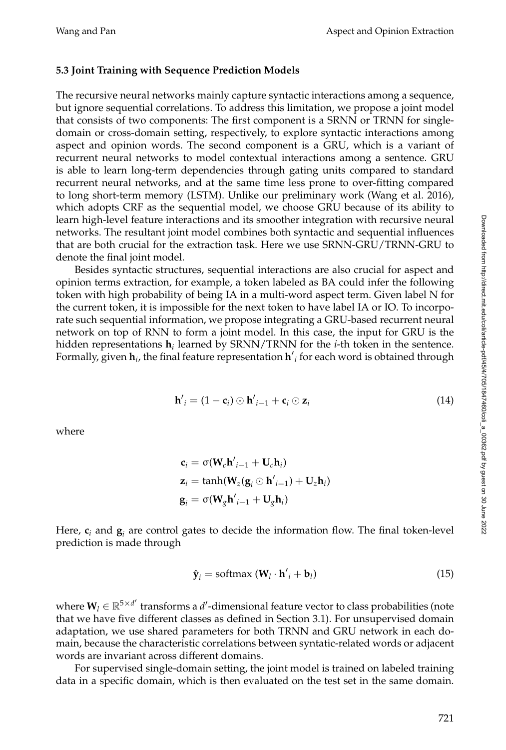#### **5.3 Joint Training with Sequence Prediction Models**

The recursive neural networks mainly capture syntactic interactions among a sequence, but ignore sequential correlations. To address this limitation, we propose a joint model that consists of two components: The first component is a SRNN or TRNN for singledomain or cross-domain setting, respectively, to explore syntactic interactions among aspect and opinion words. The second component is a GRU, which is a variant of recurrent neural networks to model contextual interactions among a sentence. GRU is able to learn long-term dependencies through gating units compared to standard recurrent neural networks, and at the same time less prone to over-fitting compared to long short-term memory (LSTM). Unlike our preliminary work [\(Wang et al. 2016\)](#page-0-0), which adopts CRF as the sequential model, we choose GRU because of its ability to learn high-level feature interactions and its smoother integration with recursive neural networks. The resultant joint model combines both syntactic and sequential influences that are both crucial for the extraction task. Here we use SRNN-GRU/TRNN-GRU to denote the final joint model.

Besides syntactic structures, sequential interactions are also crucial for aspect and opinion terms extraction, for example, a token labeled as BA could infer the following token with high probability of being IA in a multi-word aspect term. Given label N for the current token, it is impossible for the next token to have label IA or IO. To incorporate such sequential information, we propose integrating a GRU-based recurrent neural network on top of RNN to form a joint model. In this case, the input for GRU is the hidden representations **h***<sup>i</sup>* learned by SRNN/TRNN for the *i*-th token in the sentence. Formally, given  $h_i$ , the final feature representation  $h'_i$  for each word is obtained through

$$
\mathbf{h}'_i = (1 - \mathbf{c}_i) \odot \mathbf{h}'_{i-1} + \mathbf{c}_i \odot \mathbf{z}_i
$$
 (14)

where

$$
c_i = \sigma(W_c h'_{i-1} + U_c h_i)
$$
  
\n
$$
z_i = \tanh(W_z(g_i \odot h'_{i-1}) + U_z h_i)
$$
  
\n
$$
g_i = \sigma(W_g h'_{i-1} + U_g h_i)
$$

Here, **c***<sup>i</sup>* and **g***<sup>i</sup>* are control gates to decide the information flow. The final token-level prediction is made through

<span id="page-16-0"></span>
$$
\hat{\mathbf{y}}_i = \text{softmax} \left( \mathbf{W}_l \cdot \mathbf{h}'_i + \mathbf{b}_l \right) \tag{15}
$$

where  $\mathbf{W}_l \in \mathbb{R}^{5 \times d'}$  transforms a  $d'$ -dimensional feature vector to class probabilities (note that we have five different classes as defined in Section [3.1\)](#page-4-1). For unsupervised domain adaptation, we use shared parameters for both TRNN and GRU network in each domain, because the characteristic correlations between syntatic-related words or adjacent words are invariant across different domains.

For supervised single-domain setting, the joint model is trained on labeled training data in a specific domain, which is then evaluated on the test set in the same domain.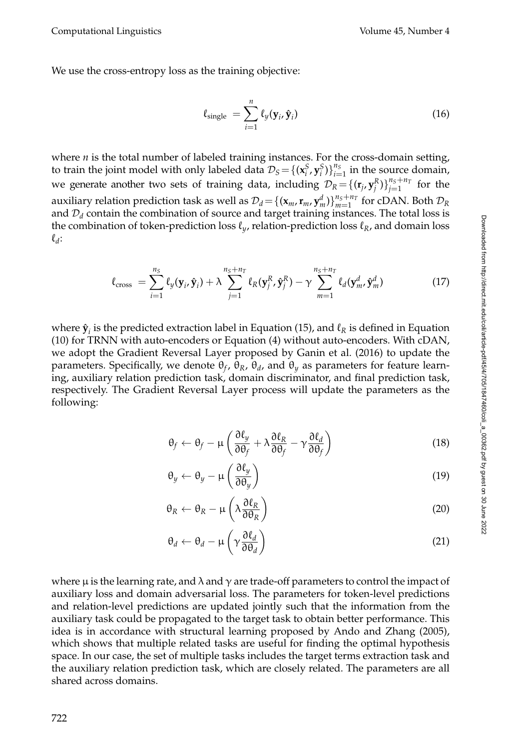We use the cross-entropy loss as the training objective:

$$
\ell_{\text{single}} = \sum_{i=1}^{n} \ell_{y}(\mathbf{y}_{i}, \hat{\mathbf{y}}_{i})
$$
\n(16)

where *n* is the total number of labeled training instances. For the cross-domain setting, to train the joint model with only labeled data  $\mathcal{D}_S = \{(\mathbf{x}_i^S, \mathbf{y}_i^S)\}_{i=1}^{n_S}$  in the source domain, we generate another two sets of training data, including  $\mathcal{D}_R = \{(\mathbf{r}_j, \mathbf{y}_j^R)\}_{j=1}^{n_S+n_T}$  for the auxiliary relation prediction task as well as  $\mathcal{D}_d$  =  $\{(\mathbf{x}_m,\mathbf{r}_m,\mathbf{y}_m^d)\}_{m=1}^{n_S+n_T}$  for cDAN. Both  $\mathcal{D}_R$ and  $\mathcal{D}_d$  contain the combination of source and target training instances. The total loss is the combination of token-prediction loss  $\ell_y$ , relation-prediction loss  $\ell_R$ , and domain loss  $\ell_d$ :

$$
\ell_{\text{cross}} = \sum_{i=1}^{n_S} \ell_y(\mathbf{y}_i, \hat{\mathbf{y}}_i) + \lambda \sum_{j=1}^{n_S + n_T} \ell_R(\mathbf{y}_j^R, \hat{\mathbf{y}}_j^R) - \gamma \sum_{m=1}^{n_S + n_T} \ell_d(\mathbf{y}_m^d, \hat{\mathbf{y}}_m^d)
$$
(17)

where  $\hat{\mathbf{y}}_i$  is the predicted extraction label in Equation [\(15\)](#page-16-0), and  $\ell_R$  is defined in Equation [\(10\)](#page-15-0) for TRNN with auto-encoders or Equation [\(4\)](#page-13-0) without auto-encoders. With cDAN, we adopt the Gradient Reversal Layer proposed by [Ganin et al. \(2016\)](#page-0-0) to update the parameters. Specifically, we denote θ*<sup>f</sup>* , θ*R*, θ*<sup>d</sup>* , and θ*<sup>y</sup>* as parameters for feature learning, auxiliary relation prediction task, domain discriminator, and final prediction task, respectively. The Gradient Reversal Layer process will update the parameters as the following:

$$
\theta_f \leftarrow \theta_f - \mu \left( \frac{\partial \ell_y}{\partial \theta_f} + \lambda \frac{\partial \ell_R}{\partial \theta_f} - \gamma \frac{\partial \ell_d}{\partial \theta_f} \right)
$$
 (18)

$$
\theta_y \leftarrow \theta_y - \mu \left( \frac{\partial \ell_y}{\partial \theta_y} \right) \tag{19}
$$

$$
\theta_R \leftarrow \theta_R - \mu \left( \lambda \frac{\partial \ell_R}{\partial \theta_R} \right) \tag{20}
$$

$$
\theta_d \leftarrow \theta_d - \mu \left( \gamma \frac{\partial \ell_d}{\partial \theta_d} \right) \tag{21}
$$

where  $\mu$  is the learning rate, and  $\lambda$  and  $\gamma$  are trade-off parameters to control the impact of auxiliary loss and domain adversarial loss. The parameters for token-level predictions and relation-level predictions are updated jointly such that the information from the auxiliary task could be propagated to the target task to obtain better performance. This idea is in accordance with structural learning proposed by [Ando and Zhang \(2005\)](#page-0-0), which shows that multiple related tasks are useful for finding the optimal hypothesis space. In our case, the set of multiple tasks includes the target terms extraction task and the auxiliary relation prediction task, which are closely related. The parameters are all shared across domains.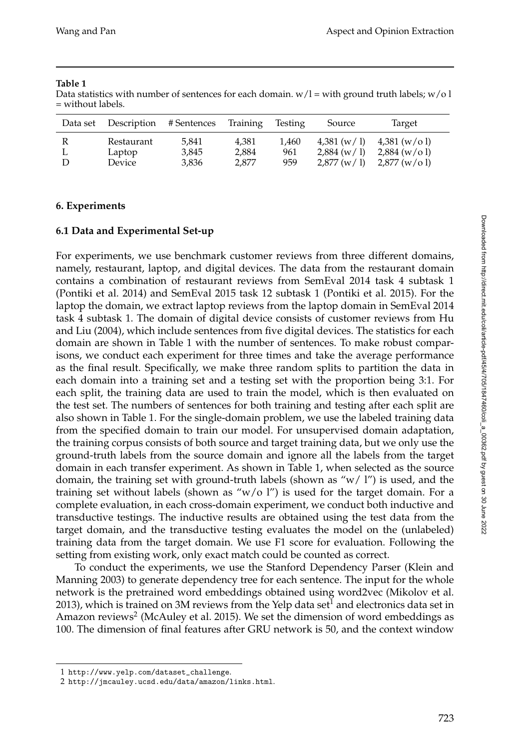#### <span id="page-18-0"></span>**Table 1**

Data statistics with number of sentences for each domain.  $w/l =$  with ground truth labels;  $w/0$  l = without labels.

| Data set | Description #Sentences |       | Training | Testing | Source            | Target          |
|----------|------------------------|-------|----------|---------|-------------------|-----------------|
| R        | Restaurant             | 5.841 | 4.381    | 1.460   | 4,381 (w/l)       | $4,381 \ (w/o)$ |
|          | Laptop                 | 3.845 | 2.884    | 961     | $2,884 \ (w / 1)$ | $2,884 \ (w/o)$ |
|          | Device                 | 3.836 | 2.877    | 959     | $2,877 \ (w / 1)$ | $2,877 \ (w/o)$ |

#### **6. Experiments**

#### **6.1 Data and Experimental Set-up**

For experiments, we use benchmark customer reviews from three different domains, namely, restaurant, laptop, and digital devices. The data from the restaurant domain contains a combination of restaurant reviews from SemEval 2014 task 4 subtask 1 (Pontiki et al. [2014\)](#page-0-0) and SemEval 2015 task 12 subtask 1 [\(Pontiki et al. 2015\)](#page-0-0). For the laptop the domain, we extract laptop reviews from the laptop domain in SemEval 2014 task 4 subtask 1. The domain of digital device consists of customer reviews from [Hu](#page-0-0) [and Liu \(2004\)](#page-0-0), which include sentences from five digital devices. The statistics for each domain are shown in Table [1](#page-18-0) with the number of sentences. To make robust comparisons, we conduct each experiment for three times and take the average performance as the final result. Specifically, we make three random splits to partition the data in each domain into a training set and a testing set with the proportion being 3:1. For each split, the training data are used to train the model, which is then evaluated on the test set. The numbers of sentences for both training and testing after each split are also shown in Table [1.](#page-18-0) For the single-domain problem, we use the labeled training data from the specified domain to train our model. For unsupervised domain adaptation, the training corpus consists of both source and target training data, but we only use the ground-truth labels from the source domain and ignore all the labels from the target domain in each transfer experiment. As shown in Table [1,](#page-18-0) when selected as the source domain, the training set with ground-truth labels (shown as " $w/ 1$ ") is used, and the training set without labels (shown as " $w/o 1$ ") is used for the target domain. For a complete evaluation, in each cross-domain experiment, we conduct both inductive and transductive testings. The inductive results are obtained using the test data from the target domain, and the transductive testing evaluates the model on the (unlabeled) training data from the target domain. We use F1 score for evaluation. Following the setting from existing work, only exact match could be counted as correct.

To conduct the experiments, we use the Stanford Dependency Parser [\(Klein and](#page-0-0) [Manning 2003\)](#page-0-0) to generate dependency tree for each sentence. The input for the whole network is the pretrained word embeddings obtained using word2vec [\(Mikolov et al.](#page-0-0) [2013\)](#page-0-0), which is trained on 3M reviews from the Yelp data set $^{\rm 1}$  $^{\rm 1}$  $^{\rm 1}$  and electronics data set in Amazon reviews<sup>[2](#page-18-2)</sup> [\(McAuley et al. 2015\)](#page-0-0). We set the dimension of word embeddings as 100. The dimension of final features after GRU network is 50, and the context window

<span id="page-18-1"></span><sup>1</sup> [http://www.yelp.com/dataset\\_challenge](http://www.yelp.com/dataset_challenge).

<span id="page-18-2"></span><sup>2</sup> <http://jmcauley.ucsd.edu/data/amazon/links.html>.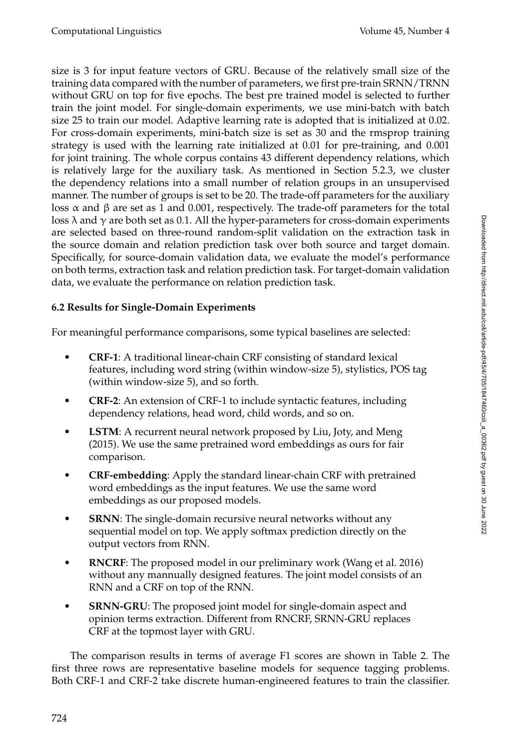size is 3 for input feature vectors of GRU. Because of the relatively small size of the training data compared with the number of parameters, we first pre-train SRNN/TRNN without GRU on top for five epochs. The best pre trained model is selected to further train the joint model. For single-domain experiments, we use mini-batch with batch size 25 to train our model. Adaptive learning rate is adopted that is initialized at 0.02. For cross-domain experiments, mini-batch size is set as 30 and the rmsprop training strategy is used with the learning rate initialized at 0.01 for pre-training, and 0.001 for joint training. The whole corpus contains 43 different dependency relations, which is relatively large for the auxiliary task. As mentioned in Section [5.2.3,](#page-14-2) we cluster the dependency relations into a small number of relation groups in an unsupervised manner. The number of groups is set to be 20. The trade-off parameters for the auxiliary loss  $\alpha$  and  $\beta$  are set as 1 and 0.001, respectively. The trade-off parameters for the total loss  $\lambda$  and  $\gamma$  are both set as 0.1. All the hyper-parameters for cross-domain experiments are selected based on three-round random-split validation on the extraction task in the source domain and relation prediction task over both source and target domain. Specifically, for source-domain validation data, we evaluate the model's performance on both terms, extraction task and relation prediction task. For target-domain validation data, we evaluate the performance on relation prediction task.

# **6.2 Results for Single-Domain Experiments**

For meaningful performance comparisons, some typical baselines are selected:

- **CRF-1**: A traditional linear-chain CRF consisting of standard lexical features, including word string (within window-size 5), stylistics, POS tag (within window-size 5), and so forth.
- **CRF-2**: An extension of CRF-1 to include syntactic features, including dependency relations, head word, child words, and so on.
- **LSTM**: A recurrent neural network proposed by [Liu, Joty, and Meng](#page-0-0) [\(2015\)](#page-0-0). We use the same pretrained word embeddings as ours for fair comparison.
- **CRF-embedding**: Apply the standard linear-chain CRF with pretrained word embeddings as the input features. We use the same word embeddings as our proposed models.
- **SRNN**: The single-domain recursive neural networks without any sequential model on top. We apply softmax prediction directly on the output vectors from RNN.
- **RNCRF**: The proposed model in our preliminary work [\(Wang et al. 2016\)](#page-0-0) without any mannually designed features. The joint model consists of an RNN and a CRF on top of the RNN.
- **SRNN-GRU:** The proposed joint model for single-domain aspect and opinion terms extraction. Different from RNCRF, SRNN-GRU replaces CRF at the topmost layer with GRU.

The comparison results in terms of average F1 scores are shown in Table [2.](#page-20-0) The first three rows are representative baseline models for sequence tagging problems. Both CRF-1 and CRF-2 take discrete human-engineered features to train the classifier.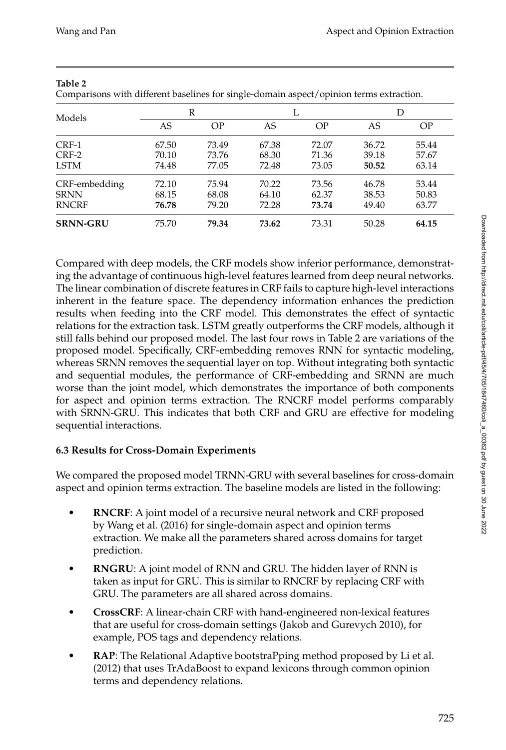| Models          |       | R     |       | L     |       | D     |
|-----------------|-------|-------|-------|-------|-------|-------|
|                 | AS    | OP    | AS    | OP    | AS    | OP    |
| $CRF-1$         | 67.50 | 73.49 | 67.38 | 72.07 | 36.72 | 55.44 |
| $CRF-2$         | 70.10 | 73.76 | 68.30 | 71.36 | 39.18 | 57.67 |
| <b>LSTM</b>     | 74.48 | 77.05 | 72.48 | 73.05 | 50.52 | 63.14 |
| CRF-embedding   | 72.10 | 75.94 | 70.22 | 73.56 | 46.78 | 53.44 |
| <b>SRNN</b>     | 68.15 | 68.08 | 64.10 | 62.37 | 38.53 | 50.83 |
| <b>RNCRF</b>    | 76.78 | 79.20 | 72.28 | 73.74 | 49.40 | 63.77 |
| <b>SRNN-GRU</b> | 75.70 | 79.34 | 73.62 | 73.31 | 50.28 | 64.15 |

#### <span id="page-20-0"></span>**Table 2**

Comparisons with different baselines for single-domain aspect/opinion terms extraction.

Compared with deep models, the CRF models show inferior performance, demonstrating the advantage of continuous high-level features learned from deep neural networks. The linear combination of discrete features in CRF fails to capture high-level interactions inherent in the feature space. The dependency information enhances the prediction results when feeding into the CRF model. This demonstrates the effect of syntactic relations for the extraction task. LSTM greatly outperforms the CRF models, although it still falls behind our proposed model. The last four rows in Table [2](#page-20-0) are variations of the proposed model. Specifically, CRF-embedding removes RNN for syntactic modeling, whereas SRNN removes the sequential layer on top. Without integrating both syntactic and sequential modules, the performance of CRF-embedding and SRNN are much worse than the joint model, which demonstrates the importance of both components for aspect and opinion terms extraction. The RNCRF model performs comparably with SRNN-GRU. This indicates that both CRF and GRU are effective for modeling sequential interactions.

# **6.3 Results for Cross-Domain Experiments**

We compared the proposed model TRNN-GRU with several baselines for cross-domain aspect and opinion terms extraction. The baseline models are listed in the following:

- **RNCRF**: A joint model of a recursive neural network and CRF proposed by [Wang et al. \(2016\)](#page-0-0) for single-domain aspect and opinion terms extraction. We make all the parameters shared across domains for target prediction.
- **RNGRU**: A joint model of RNN and GRU. The hidden layer of RNN is taken as input for GRU. This is similar to RNCRF by replacing CRF with GRU. The parameters are all shared across domains.
- **CrossCRF**: A linear-chain CRF with hand-engineered non-lexical features that are useful for cross-domain settings [\(Jakob and Gurevych 2010\)](#page-0-0), for example, POS tags and dependency relations.
- **RAP**: The Relational Adaptive bootstraPping method proposed by [Li et al.](#page-0-0) [\(2012\)](#page-0-0) that uses TrAdaBoost to expand lexicons through common opinion terms and dependency relations.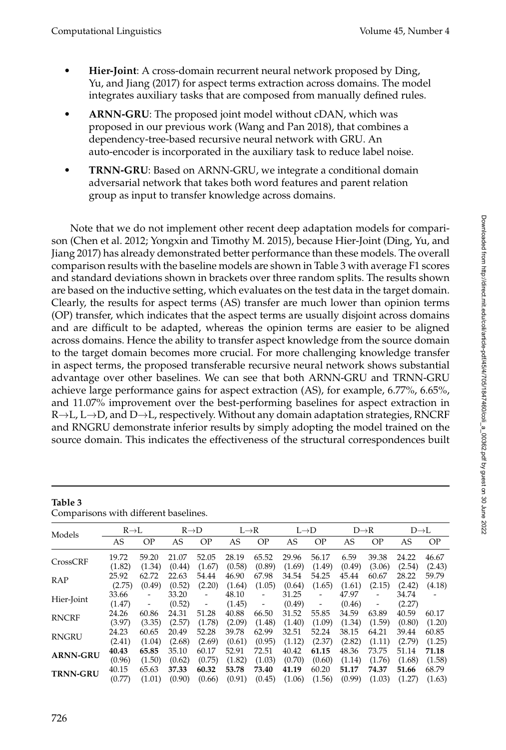- **Hier-Joint**: A cross-domain recurrent neural network proposed by [Ding,](#page-0-0) [Yu, and Jiang \(2017\)](#page-0-0) for aspect terms extraction across domains. The model integrates auxiliary tasks that are composed from manually defined rules.
- **ARNN-GRU**: The proposed joint model without cDAN, which was proposed in our previous work [\(Wang and Pan 2018\)](#page-0-0), that combines a dependency-tree-based recursive neural network with GRU. An auto-encoder is incorporated in the auxiliary task to reduce label noise.
- **TRNN-GRU**: Based on ARNN-GRU, we integrate a conditional domain adversarial network that takes both word features and parent relation group as input to transfer knowledge across domains.

Note that we do not implement other recent deep adaptation models for comparison [\(Chen et al. 2012; Yongxin and Timothy M. 2015\)](#page-0-0), because Hier-Joint [\(Ding, Yu, and](#page-0-0) [Jiang 2017\)](#page-0-0) has already demonstrated better performance than these models. The overall comparison results with the baseline models are shown in Table [3](#page-21-0) with average F1 scores and standard deviations shown in brackets over three random splits. The results shown are based on the inductive setting, which evaluates on the test data in the target domain. Clearly, the results for aspect terms (AS) transfer are much lower than opinion terms (OP) transfer, which indicates that the aspect terms are usually disjoint across domains and are difficult to be adapted, whereas the opinion terms are easier to be aligned across domains. Hence the ability to transfer aspect knowledge from the source domain to the target domain becomes more crucial. For more challenging knowledge transfer in aspect terms, the proposed transferable recursive neural network shows substantial advantage over other baselines. We can see that both ARNN-GRU and TRNN-GRU achieve large performance gains for aspect extraction (AS), for example, 6.77%, 6.65%, and 11.07% improvement over the best-performing baselines for aspect extraction in  $R\rightarrow L$ ,  $L\rightarrow D$ , and  $D\rightarrow L$ , respectively. Without any domain adaptation strategies, RNCRF and RNGRU demonstrate inferior results by simply adopting the model trained on the source domain. This indicates the effectiveness of the structural correspondences built

|        |                          |                  |        |                  |        | $L\rightarrow D$ |                          | $D\rightarrow R$ |                   | D→L    |        |
|--------|--------------------------|------------------|--------|------------------|--------|------------------|--------------------------|------------------|-------------------|--------|--------|
| AS     | OP                       | AS               | OP     | AS               | OP     | AS               | OP                       | AS               | OP                | AS     | OP     |
| 19.72  | 59.20                    | 21.07            | 52.05  | 28.19            | 65.52  | 29.96            | 56.17                    | 6.59             | 39.38             | 24.22  | 46.67  |
| (1.82) | (1.34)                   | (0.44)           | (1.67) | (0.58)           | (0.89) | (1.69)           | (1.49)                   | (0.49)           | (3.06)            | (2.54) | (2.43) |
| 25.92  | 62.72                    | 22.63            | 54.44  | 46.90            | 67.98  | 34.54            | 54.25                    | 45.44            | 60.67             | 28.22  | 59.79  |
| (2.75) | (0.49)                   | (0.52)           | (2.20) | (1.64)           | (1.05) | (0.64)           | (1.65)                   | (1.61)           | (2.15)            | (2.42) | (4.18) |
| 33.66  |                          | 33.20            | -      | 48.10            |        | 31.25            |                          | 47.97            | $\qquad \qquad -$ | 34.74  |        |
| (1.47) | $\overline{\phantom{a}}$ | (0.52)           |        | (1.45)           | -      | (0.49)           | $\overline{\phantom{a}}$ | (0.46)           | -                 | (2.27) |        |
| 24.26  | 60.86                    | 24.31            | 51.28  | 40.88            | 66.50  | 31.52            | 55.85                    | 34.59            | 63.89             | 40.59  | 60.17  |
| (3.97) | (3.35)                   | (2.57)           | (1.78) | (2.09)           | (1.48) | (1.40)           | (1.09)                   | (1.34)           | (1.59)            | (0.80) | (1.20) |
| 24.23  | 60.65                    | 20.49            | 52.28  | 39.78            | 62.99  | 32.51            | 52.24                    | 38.15            | 64.21             | 39.44  | 60.85  |
| (2.41) | (1.04)                   | (2.68)           | (2.69) | (0.61)           | (0.95) | (1.12)           | (2.37)                   | (2.82)           | (1.11)            | (2.79) | (1.25) |
| 40.43  | 65.85                    | 35.10            | 60.17  | 52.91            | 72.51  | 40.42            | 61.15                    | 48.36            | 73.75             | 51.14  | 71.18  |
| (0.96) | (1.50)                   | (0.62)           | (0.75) | (1.82)           | (1.03) | (0.70)           | (0.60)                   | (1.14)           | (1.76)            | (1.68) | (1.58) |
| 40.15  | 65.63                    | 37.33            | 60.32  | 53.78            | 73.40  | 41.19            | 60.20                    | 51.17            | 74.37             | 51.66  | 68.79  |
| (0.77) | (1.01)                   | (0.90)           | (0.66) | (0.91)           | (0.45) | (1.06)           | (1.56)                   | (0.99)           | (1.03)            | (1.27) | (1.63) |
|        |                          | $R\rightarrow L$ |        | $R\rightarrow D$ |        | $L\rightarrow R$ |                          |                  |                   |        |        |

<span id="page-21-0"></span>**Table 3** Comparisons with different baselines. Downloaded from http://direct.mit.edu/coli/article-pdf/45/4/705/1847460/coli\_a\_00362.pdf by guest on 30 June 2022 Downloaded from http://direct.mit.edu/coli/article-pdf/45/4/705/1847460/coli\_a\_00362.pdf by guest on 30 June 2022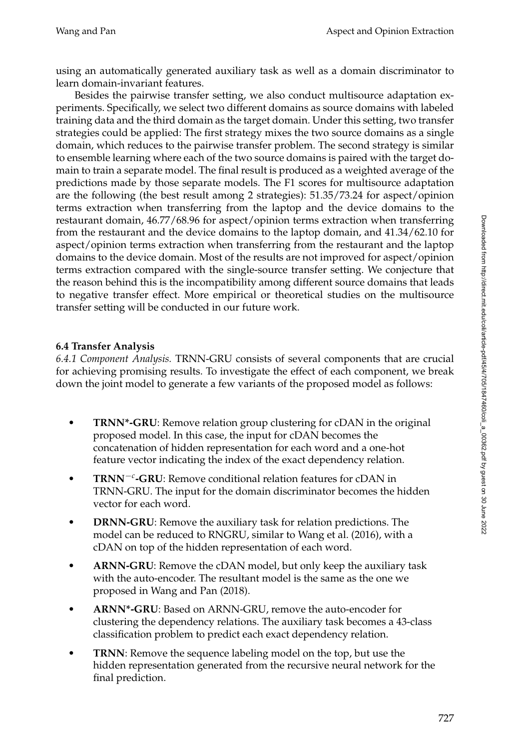using an automatically generated auxiliary task as well as a domain discriminator to learn domain-invariant features.

Besides the pairwise transfer setting, we also conduct multisource adaptation experiments. Specifically, we select two different domains as source domains with labeled training data and the third domain as the target domain. Under this setting, two transfer strategies could be applied: The first strategy mixes the two source domains as a single domain, which reduces to the pairwise transfer problem. The second strategy is similar to ensemble learning where each of the two source domains is paired with the target domain to train a separate model. The final result is produced as a weighted average of the predictions made by those separate models. The F1 scores for multisource adaptation are the following (the best result among 2 strategies): 51.35/73.24 for aspect/opinion terms extraction when transferring from the laptop and the device domains to the restaurant domain, 46.77/68.96 for aspect/opinion terms extraction when transferring from the restaurant and the device domains to the laptop domain, and 41.34/62.10 for aspect/opinion terms extraction when transferring from the restaurant and the laptop domains to the device domain. Most of the results are not improved for aspect/opinion terms extraction compared with the single-source transfer setting. We conjecture that the reason behind this is the incompatibility among different source domains that leads to negative transfer effect. More empirical or theoretical studies on the multisource transfer setting will be conducted in our future work.

## **6.4 Transfer Analysis**

*6.4.1 Component Analysis.* TRNN-GRU consists of several components that are crucial for achieving promising results. To investigate the effect of each component, we break down the joint model to generate a few variants of the proposed model as follows:

- **TRNN\*-GRU**: Remove relation group clustering for cDAN in the original proposed model. In this case, the input for cDAN becomes the concatenation of hidden representation for each word and a one-hot feature vector indicating the index of the exact dependency relation.
- **TRNN**−*<sup>c</sup>* **-GRU**: Remove conditional relation features for cDAN in TRNN-GRU. The input for the domain discriminator becomes the hidden vector for each word.
- **DRNN-GRU**: Remove the auxiliary task for relation predictions. The model can be reduced to RNGRU, similar to [Wang et al. \(2016\)](#page-0-0), with a cDAN on top of the hidden representation of each word.
- **ARNN-GRU**: Remove the cDAN model, but only keep the auxiliary task with the auto-encoder. The resultant model is the same as the one we proposed in [Wang and Pan \(2018\)](#page-0-0).
- **ARNN\*-GRU**: Based on ARNN-GRU, remove the auto-encoder for clustering the dependency relations. The auxiliary task becomes a 43-class classification problem to predict each exact dependency relation.
- **TRNN**: Remove the sequence labeling model on the top, but use the hidden representation generated from the recursive neural network for the final prediction.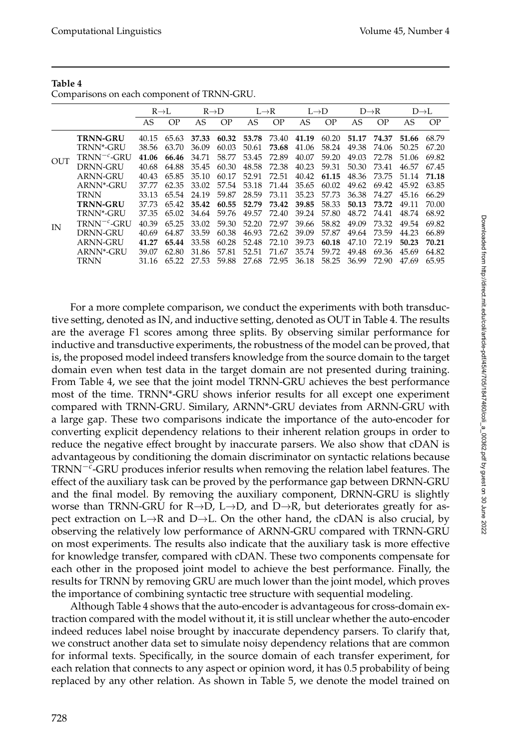| л.         |                           |       | <b>I</b>         |       |                   |       |                   |       |                   |       |                  |       |                  |
|------------|---------------------------|-------|------------------|-------|-------------------|-------|-------------------|-------|-------------------|-------|------------------|-------|------------------|
|            |                           |       | $R\rightarrow L$ |       | $R \rightarrow D$ |       | $L \rightarrow R$ |       | $L \rightarrow D$ |       | $D\rightarrow R$ |       | $D\rightarrow L$ |
|            |                           | AS    | ΟP               | AS    | OP                | AS    | ΟP                | AS    | OP                | AS    | OP               | AS    | OP               |
|            | <b>TRNN-GRU</b>           | 40.15 | 65.63            | 37.33 | 60.32             | 53.78 | 73.40             | 41.19 | 60.20             | 51.17 | 74.37            | 51.66 | 68.79            |
|            | TRNN*-GRU                 | 38.56 | 63.70            | 36.09 | 60.03             | 50.61 | 73.68             | 41.06 | 58.24             | 49.38 | 74.06            | 50.25 | 67.20            |
| <b>OUT</b> | TRNN <sup>-c</sup> -gri i | 41.06 | 66.46            | 34.71 | 58.77             | 53.45 | 72.89             | 40.07 | 59.20             | 49.03 | 72.78            | 51.06 | 69.82            |
|            | DRNN-GRU                  | 40.68 | 64.88            | 35.45 | 60.30             | 48.58 | 72.38             | 40.23 | 59.31             | 50.30 | 73.41            | 46.57 | 67.45            |
|            | ARNN-GRU                  | 40.43 | 65.85            | 35.10 | 60.17             | 52.91 | 72.51             | 40.42 | 61.15             | 48.36 | 73.75            | 51.14 | 71.18            |
|            | ARNN*-GRU                 | 37.77 | 62.35            | 33.02 | 57.54             | 53.18 | 71.44             | 35.65 | 60.02             | 49.62 | 69.42            | 45.92 | 63.85            |
|            | TRNN                      | 33.13 | 65.54            | 24.19 | 59.87             | 28.59 | 73.11             | 35.23 | 57.73             | 36.38 | 74.27            | 45.16 | 66.29            |
|            | <b>TRNN-GRU</b>           | 37.73 | 65.42            | 35.42 | 60.55             | 52.79 | 73.42             | 39.85 | 58.33             | 50.13 | 73.72            | 49.11 | 70.00            |
|            | TRNN*-GRU                 | 37.35 | 65.02            | 34.64 | 59.76             | 49.57 | 72.40             | 39.24 | 57.80             | 48.72 | 74.41            | 48.74 | 68.92            |
| IN         | $TRNN^{-c}$ -GRU          | 40.39 | 65.25            | 33.02 | 59.30             | 52.20 | 72.97             | 39.66 | 58.82             | 49.09 | 73.32            | 49.54 | 69.82            |
|            | <b>DRNN-GRU</b>           | 40.69 | 64.87            | 33.59 | 60.38             | 46.93 | 72.62             | 39.09 | 57.87             | 49.64 | 73.59            | 44.23 | 66.89            |
|            | ARNN-GRU                  | 41.27 | 65.44            | 33.58 | 60.28             | 52.48 | 72.10             | 39.73 | 60.18             | 47.10 | 72.19            | 50.23 | 70.21            |
|            | ARNN*-GRU                 | 39.07 | 62.80            | 31.86 | 57.81             | 52.51 | 71.67             | 35.74 | 59.72             | 49.48 | 69.36            | 45.69 | 64.82            |
|            | TRNN                      | 31.16 | 65.22            | 27.53 | 59.88             | 27.68 | 72.95             | 36.18 | 58.25             | 36.99 | 72.90            | 47.69 | 65.95            |

<span id="page-23-0"></span>**Table 4** Comparisons on each component of TRNN-GRU.

For a more complete comparison, we conduct the experiments with both transductive setting, denoted as IN, and inductive setting, denoted as OUT in Table [4.](#page-23-0) The results are the average F1 scores among three splits. By observing similar performance for inductive and transductive experiments, the robustness of the model can be proved, that is, the proposed model indeed transfers knowledge from the source domain to the target domain even when test data in the target domain are not presented during training. From Table [4,](#page-23-0) we see that the joint model TRNN-GRU achieves the best performance most of the time. TRNN\*-GRU shows inferior results for all except one experiment compared with TRNN-GRU. Similary, ARNN\*-GRU deviates from ARNN-GRU with a large gap. These two comparisons indicate the importance of the auto-encoder for converting explicit dependency relations to their inherent relation groups in order to reduce the negative effect brought by inaccurate parsers. We also show that cDAN is advantageous by conditioning the domain discriminator on syntactic relations because TRNN−*<sup>c</sup>* -GRU produces inferior results when removing the relation label features. The effect of the auxiliary task can be proved by the performance gap between DRNN-GRU and the final model. By removing the auxiliary component, DRNN-GRU is slightly worse than TRNN-GRU for R $\rightarrow$ D, L $\rightarrow$ D, and D $\rightarrow$ R, but deteriorates greatly for aspect extraction on L $\rightarrow$ R and D $\rightarrow$ L. On the other hand, the cDAN is also crucial, by observing the relatively low performance of ARNN-GRU compared with TRNN-GRU on most experiments. The results also indicate that the auxiliary task is more effective for knowledge transfer, compared with cDAN. These two components compensate for each other in the proposed joint model to achieve the best performance. Finally, the results for TRNN by removing GRU are much lower than the joint model, which proves the importance of combining syntactic tree structure with sequential modeling.

Although Table [4](#page-23-0) shows that the auto-encoder is advantageous for cross-domain extraction compared with the model without it, it is still unclear whether the auto-encoder indeed reduces label noise brought by inaccurate dependency parsers. To clarify that, we construct another data set to simulate noisy dependency relations that are common for informal texts. Specifically, in the source domain of each transfer experiment, for each relation that connects to any aspect or opinion word, it has 0.5 probability of being replaced by any other relation. As shown in Table [5,](#page-24-0) we denote the model trained on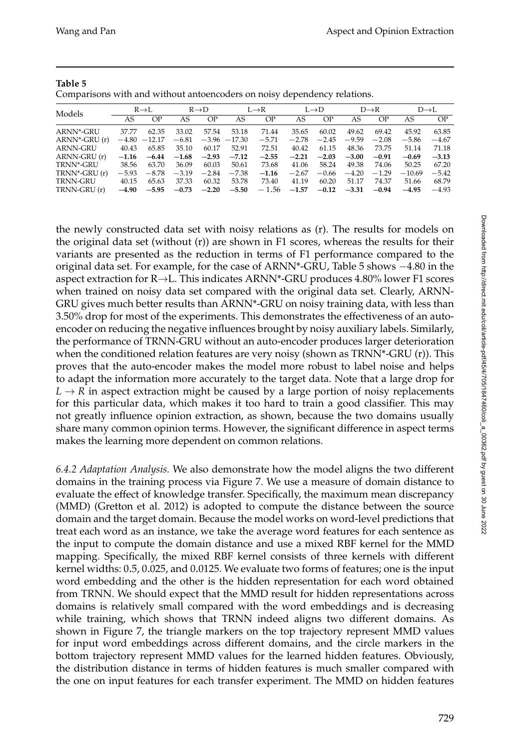| Comparisons with and without antoencoders on noisy dependency relations. |         |                   |         |                   |                  |                   |         |                  |         |                                      |          |         |
|--------------------------------------------------------------------------|---------|-------------------|---------|-------------------|------------------|-------------------|---------|------------------|---------|--------------------------------------|----------|---------|
| Models                                                                   |         | $R \rightarrow L$ |         | $R \rightarrow D$ |                  | $L \rightarrow R$ |         | $L\rightarrow D$ |         | $D\rightarrow R$<br>$D\rightarrow L$ |          |         |
|                                                                          | AS      | OP                | AS      | ΟP                | AS               | <b>OP</b>         | AS      | <b>OP</b>        | AS      | ΟP                                   | AS       | OP.     |
| ARNN*-GRU                                                                | 37.77   | 62.35             | 33.02   | 57.54             | 53.18            | 71.44             | 35.65   | 60.02            | 49.62   | 69.42                                | 45.92    | 63.85   |
| $ARNN*-GRU(r)$                                                           | $-4.80$ | $-12.17$          | $-6.81$ |                   | $-3.96$ $-17.30$ | $-5.71$           | $-2.78$ | $-2.45$          | $-9.59$ | $-2.08$                              | $-5.86$  | $-4.67$ |
| ARNN-GRU                                                                 | 40.43   | 65.85             | 35.10   | 60.17             | 52.91            | 72.51             | 40.42   | 61.15            | 48.36   | 73.75                                | 51.14    | 71.18   |
| ARNN-GRU (r)                                                             | $-1.16$ | $-6.44$           | $-1.68$ | $-2.93$           | $-7.12$          | $-2.55$           | $-2.21$ | $-2.03$          | $-3.00$ | $-0.91$                              | $-0.69$  | $-3.13$ |
| TRNN*-GRU                                                                | 38.56   | 63.70             | 36.09   | 60.03             | 50.61            | 73.68             | 41.06   | 58.24            | 49.38   | 74.06                                | 50.25    | 67.20   |
| $TRNN*-GRU(r)$                                                           | $-5.93$ | $-8.78$           | $-3.19$ | $-2.84$           | $-7.38$          | $-1.16$           | $-2.67$ | $-0.66$          | $-4.20$ | $-1.29$                              | $-10.69$ | $-5.42$ |
| <b>TRNN-GRU</b>                                                          | 40.15   | 65.63             | 37.33   | 60.32             | 53.78            | 73.40             | 41.19   | 60.20            | 51.17   | 74.37                                | 51.66    | 68.79   |
| TRNN-GRU (r)                                                             | $-4.90$ | $-5.95$           | $-0.73$ | $-2.20$           | $-5.50$          | $-1.56$           | $-1.57$ | $-0.12$          | $-3.31$ | $-0.94$                              | $-4.95$  | $-4.93$ |

#### <span id="page-24-0"></span>**Table 5**

Comparisons with and without antoencoders on noisy dependency relations.

the newly constructed data set with noisy relations as (r). The results for models on the original data set (without (r)) are shown in F1 scores, whereas the results for their variants are presented as the reduction in terms of F1 performance compared to the original data set. For example, for the case of ARNN\*-GRU, Table [5](#page-24-0) shows −4.80 in the aspect extraction for R→L. This indicates ARNN\*-GRU produces 4.80% lower F1 scores when trained on noisy data set compared with the original data set. Clearly, ARNN-GRU gives much better results than ARNN\*-GRU on noisy training data, with less than 3.50% drop for most of the experiments. This demonstrates the effectiveness of an autoencoder on reducing the negative influences brought by noisy auxiliary labels. Similarly, the performance of TRNN-GRU without an auto-encoder produces larger deterioration when the conditioned relation features are very noisy (shown as TRNN\*-GRU (r)). This proves that the auto-encoder makes the model more robust to label noise and helps to adapt the information more accurately to the target data. Note that a large drop for  $L \rightarrow R$  in aspect extraction might be caused by a large portion of noisy replacements for this particular data, which makes it too hard to train a good classifier. This may not greatly influence opinion extraction, as shown, because the two domains usually share many common opinion terms. However, the significant difference in aspect terms makes the learning more dependent on common relations.

*6.4.2 Adaptation Analysis.* We also demonstrate how the model aligns the two different domains in the training process via Figure [7.](#page-25-0) We use a measure of domain distance to evaluate the effect of knowledge transfer. Specifically, the maximum mean discrepancy (MMD) [\(Gretton et al. 2012\)](#page-0-0) is adopted to compute the distance between the source domain and the target domain. Because the model works on word-level predictions that treat each word as an instance, we take the average word features for each sentence as the input to compute the domain distance and use a mixed RBF kernel for the MMD mapping. Specifically, the mixed RBF kernel consists of three kernels with different kernel widths: 0.5, 0.025, and 0.0125. We evaluate two forms of features; one is the input word embedding and the other is the hidden representation for each word obtained from TRNN. We should expect that the MMD result for hidden representations across domains is relatively small compared with the word embeddings and is decreasing while training, which shows that TRNN indeed aligns two different domains. As shown in Figure [7,](#page-25-0) the triangle markers on the top trajectory represent MMD values for input word embeddings across different domains, and the circle markers in the bottom trajectory represent MMD values for the learned hidden features. Obviously, the distribution distance in terms of hidden features is much smaller compared with the one on input features for each transfer experiment. The MMD on hidden features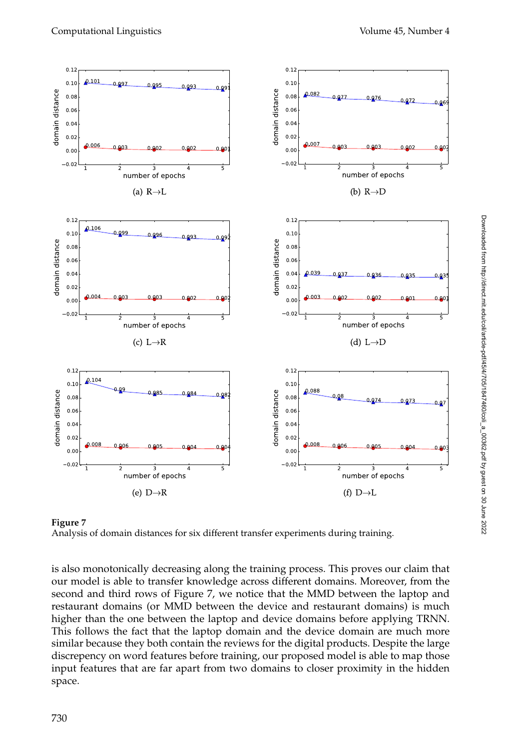

<span id="page-25-0"></span>

is also monotonically decreasing along the training process. This proves our claim that our model is able to transfer knowledge across different domains. Moreover, from the second and third rows of Figure [7,](#page-25-0) we notice that the MMD between the laptop and restaurant domains (or MMD between the device and restaurant domains) is much higher than the one between the laptop and device domains before applying TRNN. This follows the fact that the laptop domain and the device domain are much more similar because they both contain the reviews for the digital products. Despite the large discrepency on word features before training, our proposed model is able to map those input features that are far apart from two domains to closer proximity in the hidden space.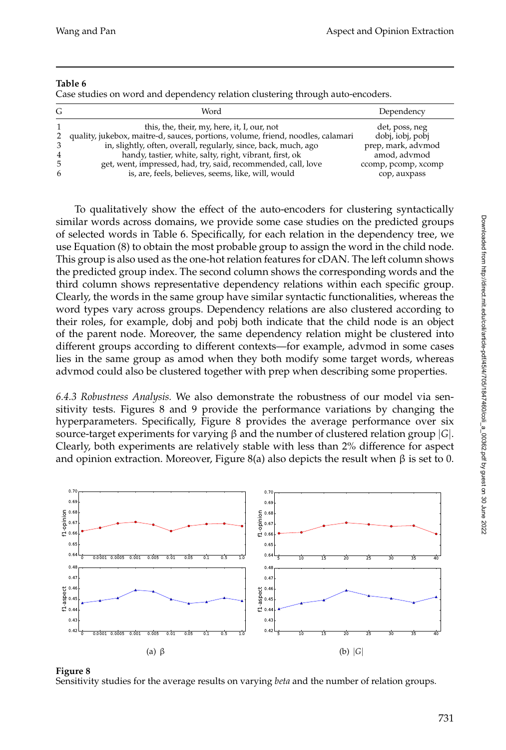#### <span id="page-26-0"></span>**Table 6**

Case studies on word and dependency relation clustering through auto-encoders.

| G            | Word                                                                                                                                                                                                                                                                                                                                                                                | Dependency                                                                                                      |
|--------------|-------------------------------------------------------------------------------------------------------------------------------------------------------------------------------------------------------------------------------------------------------------------------------------------------------------------------------------------------------------------------------------|-----------------------------------------------------------------------------------------------------------------|
| 4<br>.5<br>6 | this, the, their, my, here, it, I, our, not<br>quality, jukebox, maitre-d, sauces, portions, volume, friend, noodles, calamari<br>in, slightly, often, overall, regularly, since, back, much, ago<br>handy, tastier, white, salty, right, vibrant, first, ok<br>get, went, impressed, had, try, said, recommended, call, love<br>is, are, feels, believes, seems, like, will, would | det, poss, neg<br>dobj, iobj, pobj<br>prep, mark, advmod<br>amod, advmod<br>ccomp, pcomp, xcomp<br>cop, auxpass |

To qualitatively show the effect of the auto-encoders for clustering syntactically similar words across domains, we provide some case studies on the predicted groups of selected words in Table [6.](#page-26-0) Specifically, for each relation in the dependency tree, we use Equation [\(8\)](#page-14-1) to obtain the most probable group to assign the word in the child node. This group is also used as the one-hot relation features for cDAN. The left column shows the predicted group index. The second column shows the corresponding words and the third column shows representative dependency relations within each specific group. Clearly, the words in the same group have similar syntactic functionalities, whereas the word types vary across groups. Dependency relations are also clustered according to their roles, for example, dobj and pobj both indicate that the child node is an object of the parent node. Moreover, the same dependency relation might be clustered into different groups according to different contexts—for example, advmod in some cases lies in the same group as amod when they both modify some target words, whereas advmod could also be clustered together with prep when describing some properties.

*6.4.3 Robustness Analysis.* We also demonstrate the robustness of our model via sensitivity tests. Figures [8](#page-26-1) and [9](#page-27-0) provide the performance variations by changing the hyperparameters. Specifically, Figure [8](#page-26-1) provides the average performance over six source-target experiments for varying β and the number of clustered relation group |*G*|. Clearly, both experiments are relatively stable with less than 2% difference for aspect and opinion extraction. Moreover, Figure [8\(a\)](#page-26-2) also depicts the result when  $β$  is set to 0.

<span id="page-26-2"></span>

#### <span id="page-26-1"></span>**Figure 8** Sensitivity studies for the average results on varying *beta* and the number of relation groups.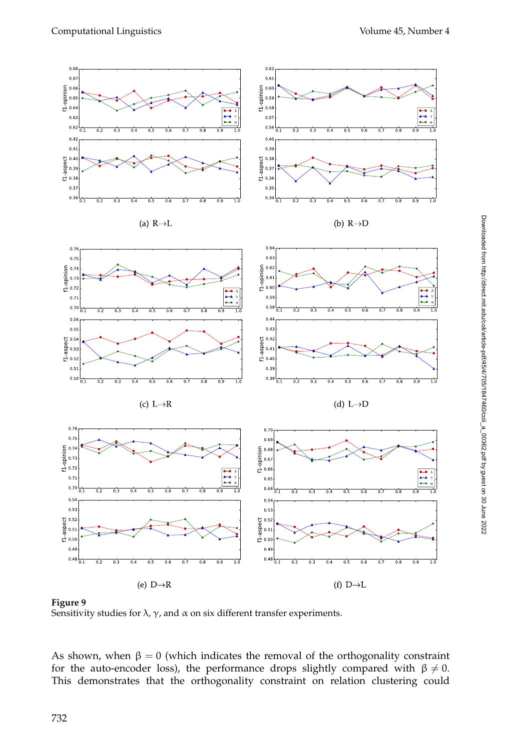

<span id="page-27-0"></span>

As shown, when  $\beta = 0$  (which indicates the removal of the orthogonality constraint for the auto-encoder loss), the performance drops slightly compared with  $\beta \neq 0$ . This demonstrates that the orthogonality constraint on relation clustering could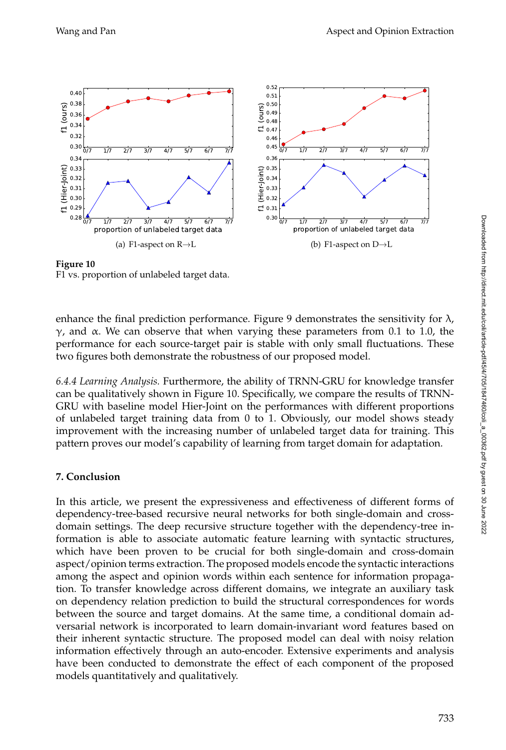

<span id="page-28-0"></span>**Figure 10** F1 vs. proportion of unlabeled target data.

enhance the final prediction performance. Figure [9](#page-27-0) demonstrates the sensitivity for  $\lambda$ ,  $γ$ , and α. We can observe that when varying these parameters from 0.1 to 1.0, the performance for each source-target pair is stable with only small fluctuations. These two figures both demonstrate the robustness of our proposed model.

*6.4.4 Learning Analysis.* Furthermore, the ability of TRNN-GRU for knowledge transfer can be qualitatively shown in Figure [10.](#page-28-0) Specifically, we compare the results of TRNN-GRU with baseline model Hier-Joint on the performances with different proportions of unlabeled target training data from 0 to 1. Obviously, our model shows steady improvement with the increasing number of unlabeled target data for training. This pattern proves our model's capability of learning from target domain for adaptation.

# **7. Conclusion**

In this article, we present the expressiveness and effectiveness of different forms of dependency-tree-based recursive neural networks for both single-domain and crossdomain settings. The deep recursive structure together with the dependency-tree information is able to associate automatic feature learning with syntactic structures, which have been proven to be crucial for both single-domain and cross-domain aspect/opinion terms extraction. The proposed models encode the syntactic interactions among the aspect and opinion words within each sentence for information propagation. To transfer knowledge across different domains, we integrate an auxiliary task on dependency relation prediction to build the structural correspondences for words between the source and target domains. At the same time, a conditional domain adversarial network is incorporated to learn domain-invariant word features based on their inherent syntactic structure. The proposed model can deal with noisy relation information effectively through an auto-encoder. Extensive experiments and analysis have been conducted to demonstrate the effect of each component of the proposed models quantitatively and qualitatively.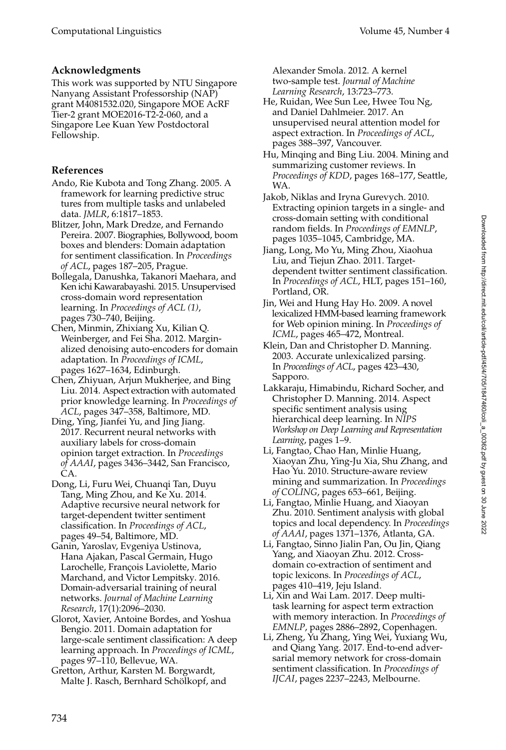## **Acknowledgments**

This work was supported by NTU Singapore Nanyang Assistant Professorship (NAP) grant M4081532.020, Singapore MOE AcRF Tier-2 grant MOE2016-T2-2-060, and a Singapore Lee Kuan Yew Postdoctoral Fellowship.

## **References**

- Ando, Rie Kubota and Tong Zhang. 2005. A framework for learning predictive struc tures from multiple tasks and unlabeled data. *JMLR*, 6:1817–1853.
- Blitzer, John, Mark Dredze, and Fernando Pereira. 2007. Biographies, Bollywood, boom boxes and blenders: Domain adaptation for sentiment classification. In *Proceedings of ACL*, pages 187–205, Prague.
- Bollegala, Danushka, Takanori Maehara, and Ken ichi Kawarabayashi. 2015. Unsupervised cross-domain word representation learning. In *Proceedings of ACL (1)*, pages 730–740, Beijing.
- Chen, Minmin, Zhixiang Xu, Kilian Q. Weinberger, and Fei Sha. 2012. Marginalized denoising auto-encoders for domain adaptation. In *Proceedings of ICML*, pages 1627–1634, Edinburgh.
- Chen, Zhiyuan, Arjun Mukherjee, and Bing Liu. 2014. Aspect extraction with automated prior knowledge learning. In *Proceedings of ACL*, pages 347–358, Baltimore, MD.
- Ding, Ying, Jianfei Yu, and Jing Jiang. 2017. Recurrent neural networks with auxiliary labels for cross-domain opinion target extraction. In *Proceedings of AAAI*, pages 3436–3442, San Francisco, CA.
- Dong, Li, Furu Wei, Chuanqi Tan, Duyu Tang, Ming Zhou, and Ke Xu. 2014. Adaptive recursive neural network for target-dependent twitter sentiment classification. In *Proceedings of ACL*, pages 49–54, Baltimore, MD.
- Ganin, Yaroslav, Evgeniya Ustinova, Hana Ajakan, Pascal Germain, Hugo Larochelle, François Laviolette, Mario Marchand, and Victor Lempitsky. 2016. Domain-adversarial training of neural networks. *Journal of Machine Learning Research*, 17(1):2096–2030.
- Glorot, Xavier, Antoine Bordes, and Yoshua Bengio. 2011. Domain adaptation for large-scale sentiment classification: A deep learning approach. In *Proceedings of ICML*, pages 97–110, Bellevue, WA.
- Gretton, Arthur, Karsten M. Borgwardt, Malte J. Rasch, Bernhard Schölkopf, and

Alexander Smola. 2012. A kernel two-sample test. *Journal of Machine Learning Research*, 13:723–773.

- He, Ruidan, Wee Sun Lee, Hwee Tou Ng, and Daniel Dahlmeier. 2017. An unsupervised neural attention model for aspect extraction. In *Proceedings of ACL*, pages 388–397, Vancouver.
- Hu, Minqing and Bing Liu. 2004. Mining and summarizing customer reviews. In *Proceedings of KDD*, pages 168–177, Seattle, WA.
- Jakob, Niklas and Iryna Gurevych. 2010. Extracting opinion targets in a single- and cross-domain setting with conditional random fields. In *Proceedings of EMNLP*, pages 1035–1045, Cambridge, MA.
- Jiang, Long, Mo Yu, Ming Zhou, Xiaohua Liu, and Tiejun Zhao. 2011. Targetdependent twitter sentiment classification. In *Proceedings of ACL*, HLT, pages 151–160, Portland, OR.
- Jin, Wei and Hung Hay Ho. 2009. A novel lexicalized HMM-based learning framework for Web opinion mining. In *Proceedings of ICML*, pages 465–472, Montreal.
- Klein, Dan and Christopher D. Manning. 2003. Accurate unlexicalized parsing. In *Proceedings of ACL*, pages 423–430, Sapporo.
- Lakkaraju, Himabindu, Richard Socher, and Christopher D. Manning. 2014. Aspect specific sentiment analysis using hierarchical deep learning. In *NIPS Workshop on Deep Learning and Representation Learning*, pages 1–9.
- Li, Fangtao, Chao Han, Minlie Huang, Xiaoyan Zhu, Ying-Ju Xia, Shu Zhang, and Hao Yu. 2010. Structure-aware review mining and summarization. In *Proceedings of COLING*, pages 653–661, Beijing.
- Li, Fangtao, Minlie Huang, and Xiaoyan Zhu. 2010. Sentiment analysis with global topics and local dependency. In *Proceedings of AAAI*, pages 1371–1376, Atlanta, GA.
- Li, Fangtao, Sinno Jialin Pan, Ou Jin, Qiang Yang, and Xiaoyan Zhu. 2012. Crossdomain co-extraction of sentiment and topic lexicons. In *Proceedings of ACL*, pages 410–419, Jeju Island.
- Li, Xin and Wai Lam. 2017. Deep multitask learning for aspect term extraction with memory interaction. In *Proceedings of EMNLP*, pages 2886–2892, Copenhagen.
- Li, Zheng, Yu Zhang, Ying Wei, Yuxiang Wu, and Qiang Yang. 2017. End-to-end adversarial memory network for cross-domain sentiment classification. In *Proceedings of IJCAI*, pages 2237–2243, Melbourne.

Downloaded from http://direct.mit.edu/coli/article-pdf/45/4/705/1847460/coli\_a\_00362.pdf by guest on 30 June 2022 Downloaded from http://direct.mit.edu/coli/article-pdf/45/4/705/1847460/coli\_a\_00362.pdf by guest on 30 June 2022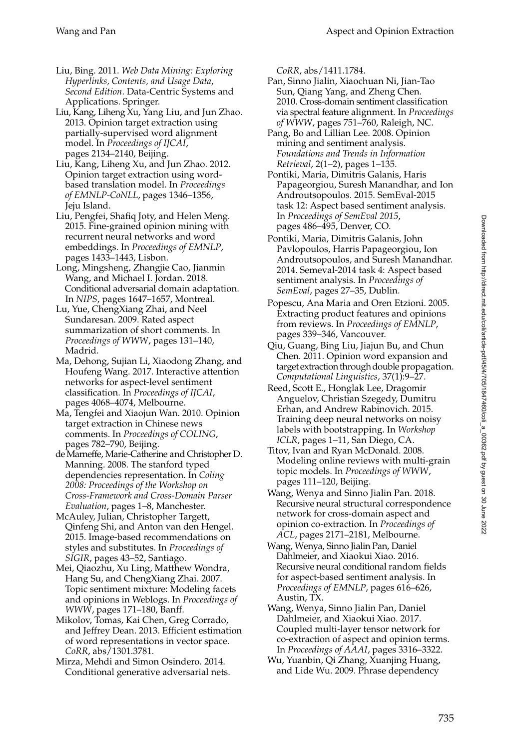- Liu, Bing. 2011. *Web Data Mining: Exploring Hyperlinks, Contents, and Usage Data*, *Second Edition*. Data-Centric Systems and Applications. Springer.
- Liu, Kang, Liheng Xu, Yang Liu, and Jun Zhao. 2013. Opinion target extraction using partially-supervised word alignment model. In *Proceedings of IJCAI*, pages 2134–2140, Beijing.
- Liu, Kang, Liheng Xu, and Jun Zhao. 2012. Opinion target extraction using wordbased translation model. In *Proceedings of EMNLP-CoNLL*, pages 1346–1356, Jeju Island.
- Liu, Pengfei, Shafiq Joty, and Helen Meng. 2015. Fine-grained opinion mining with recurrent neural networks and word embeddings. In *Proceedings of EMNLP*, pages 1433–1443, Lisbon.
- Long, Mingsheng, Zhangjie Cao, Jianmin Wang, and Michael I. Jordan. 2018. Conditional adversarial domain adaptation. In *NIPS*, pages 1647–1657, Montreal.
- Lu, Yue, ChengXiang Zhai, and Neel Sundaresan. 2009. Rated aspect summarization of short comments. In *Proceedings of WWW*, pages 131–140, Madrid.
- Ma, Dehong, Sujian Li, Xiaodong Zhang, and Houfeng Wang. 2017. Interactive attention networks for aspect-level sentiment classification. In *Proceedings of IJCAI*, pages 4068–4074, Melbourne.
- Ma, Tengfei and Xiaojun Wan. 2010. Opinion target extraction in Chinese news comments. In *Proceedings of COLING*, pages 782–790, Beijing.
- deMarneffe, Marie-Catherine and Christopher D. Manning. 2008. The stanford typed dependencies representation. In *Coling 2008: Proceedings of the Workshop on Cross-Framework and Cross-Domain Parser Evaluation*, pages 1–8, Manchester.
- McAuley, Julian, Christopher Targett, Qinfeng Shi, and Anton van den Hengel. 2015. Image-based recommendations on styles and substitutes. In *Proceedings of SIGIR*, pages 43–52, Santiago.
- Mei, Qiaozhu, Xu Ling, Matthew Wondra, Hang Su, and ChengXiang Zhai. 2007. Topic sentiment mixture: Modeling facets and opinions in Weblogs. In *Proceedings of WWW*, pages 171–180, Banff.
- Mikolov, Tomas, Kai Chen, Greg Corrado, and Jeffrey Dean. 2013. Efficient estimation of word representations in vector space. *CoRR*, abs/1301.3781.
- Mirza, Mehdi and Simon Osindero. 2014. Conditional generative adversarial nets.

*CoRR*, abs/1411.1784.

- Pan, Sinno Jialin, Xiaochuan Ni, Jian-Tao Sun, Qiang Yang, and Zheng Chen. 2010. Cross-domain sentiment classification via spectral feature alignment. In *Proceedings of WWW*, pages 751–760, Raleigh, NC.
- Pang, Bo and Lillian Lee. 2008. Opinion mining and sentiment analysis. *Foundations and Trends in Information Retrieval*, 2(1–2), pages 1–135.
- Pontiki, Maria, Dimitris Galanis, Haris Papageorgiou, Suresh Manandhar, and Ion Androutsopoulos. 2015. SemEval-2015 task 12: Aspect based sentiment analysis. In *Proceedings of SemEval 2015*, pages 486–495, Denver, CO.
- Pontiki, Maria, Dimitris Galanis, John Pavlopoulos, Harris Papageorgiou, Ion Androutsopoulos, and Suresh Manandhar. 2014. Semeval-2014 task 4: Aspect based sentiment analysis. In *Proceedings of SemEval*, pages 27–35, Dublin.
- Popescu, Ana Maria and Oren Etzioni. 2005. Extracting product features and opinions from reviews. In *Proceedings of EMNLP*, pages 339–346, Vancouver.
- Qiu, Guang, Bing Liu, Jiajun Bu, and Chun Chen. 2011. Opinion word expansion and target extraction through double propagation. *Computational Linguistics*, 37(1):9–27.
- Reed, Scott E., Honglak Lee, Dragomir Anguelov, Christian Szegedy, Dumitru Erhan, and Andrew Rabinovich. 2015. Training deep neural networks on noisy labels with bootstrapping. In *Workshop ICLR*, pages 1–11, San Diego, CA.
- Titov, Ivan and Ryan McDonald. 2008. Modeling online reviews with multi-grain topic models. In *Proceedings of WWW*, pages 111–120, Beijing.
- Wang, Wenya and Sinno Jialin Pan. 2018. Recursive neural structural correspondence network for cross-domain aspect and opinion co-extraction. In *Proceedings of ACL*, pages 2171–2181, Melbourne.
- Wang, Wenya, Sinno Jialin Pan, Daniel Dahlmeier, and Xiaokui Xiao. 2016. Recursive neural conditional random fields for aspect-based sentiment analysis. In *Proceedings of EMNLP*, pages 616–626, Austin, TX.
- Wang, Wenya, Sinno Jialin Pan, Daniel Dahlmeier, and Xiaokui Xiao. 2017. Coupled multi-layer tensor network for co-extraction of aspect and opinion terms. In *Proceedings of AAAI*, pages 3316–3322.
- Wu, Yuanbin, Qi Zhang, Xuanjing Huang, and Lide Wu. 2009. Phrase dependency